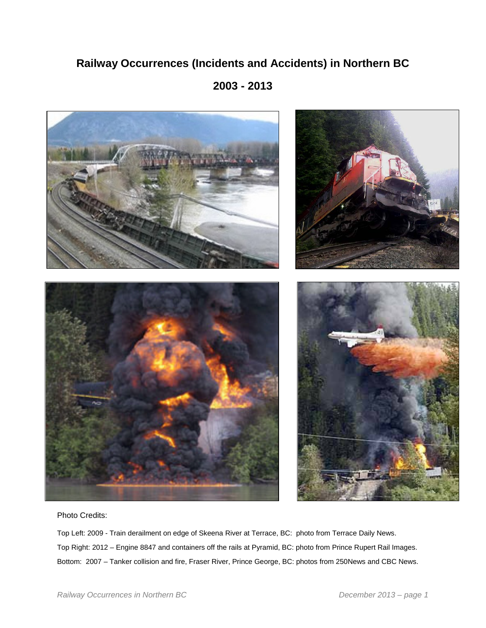# **Railway Occurrences (Incidents and Accidents) in Northern BC**

**2003 - 2013**



Photo Credits:

Top Left: 2009 - Train derailment on edge of Skeena River at Terrace, BC: photo from Terrace Daily News. Top Right: 2012 – Engine 8847 and containers off the rails at Pyramid, BC: photo from Prince Rupert Rail Images. Bottom: 2007 – Tanker collision and fire, Fraser River, Prince George, BC: photos from 250News and CBC News.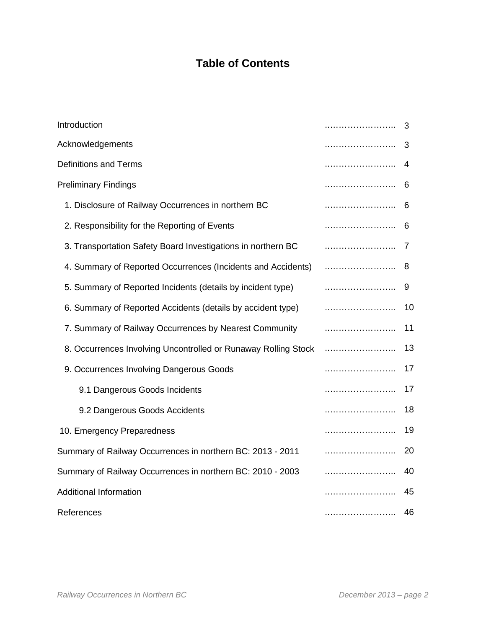# **Table of Contents**

| Introduction                                                   | 3      |
|----------------------------------------------------------------|--------|
| Acknowledgements                                               | <br>3  |
| <b>Definitions and Terms</b>                                   | 4      |
| <b>Preliminary Findings</b>                                    | 6      |
| 1. Disclosure of Railway Occurrences in northern BC            | 6      |
| 2. Responsibility for the Reporting of Events                  | 6      |
| 3. Transportation Safety Board Investigations in northern BC   | 7      |
| 4. Summary of Reported Occurrences (Incidents and Accidents)   | 8      |
| 5. Summary of Reported Incidents (details by incident type)    | 9      |
| 6. Summary of Reported Accidents (details by accident type)    | 10     |
| 7. Summary of Railway Occurrences by Nearest Community         | 11     |
| 8. Occurrences Involving Uncontrolled or Runaway Rolling Stock | 13     |
| 9. Occurrences Involving Dangerous Goods                       | 17     |
| 9.1 Dangerous Goods Incidents                                  | 17     |
| 9.2 Dangerous Goods Accidents                                  | 18     |
| 10. Emergency Preparedness                                     | 19     |
| Summary of Railway Occurrences in northern BC: 2013 - 2011     | <br>20 |
| Summary of Railway Occurrences in northern BC: 2010 - 2003     | <br>40 |
| <b>Additional Information</b>                                  | 45     |
| References                                                     | 46     |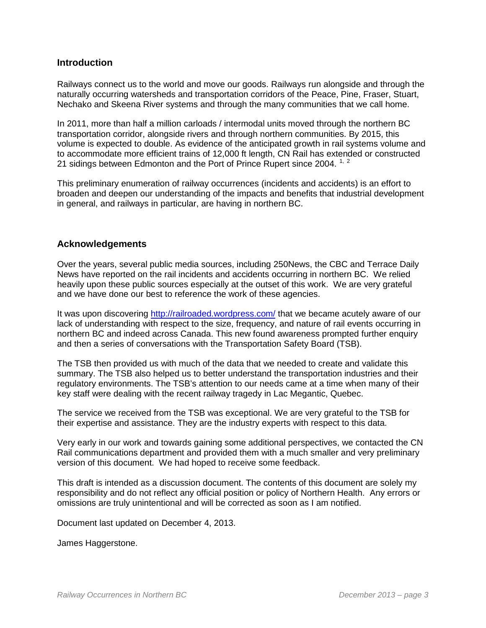## **Introduction**

Railways connect us to the world and move our goods. Railways run alongside and through the naturally occurring watersheds and transportation corridors of the Peace, Pine, Fraser, Stuart, Nechako and Skeena River systems and through the many communities that we call home.

In 2011, more than half a million carloads / intermodal units moved through the northern BC transportation corridor, alongside rivers and through northern communities. By 2015, this volume is expected to double. As evidence of the anticipated growth in rail systems volume and to accommodate more efficient trains of 12,000 ft length, CN Rail has extended or constructed 21 sidings between Edmonton and the Port of Prince Rupert since 2004.<sup>[1,](#page-45-0) [2](#page-45-1)</sup>

This preliminary enumeration of railway occurrences (incidents and accidents) is an effort to broaden and deepen our understanding of the impacts and benefits that industrial development in general, and railways in particular, are having in northern BC.

## **Acknowledgements**

Over the years, several public media sources, including 250News, the CBC and Terrace Daily News have reported on the rail incidents and accidents occurring in northern BC. We relied heavily upon these public sources especially at the outset of this work. We are very grateful and we have done our best to reference the work of these agencies.

It was upon discovering<http://railroaded.wordpress.com/> that we became acutely aware of our lack of understanding with respect to the size, frequency, and nature of rail events occurring in northern BC and indeed across Canada. This new found awareness prompted further enquiry and then a series of conversations with the Transportation Safety Board (TSB).

The TSB then provided us with much of the data that we needed to create and validate this summary. The TSB also helped us to better understand the transportation industries and their regulatory environments. The TSB's attention to our needs came at a time when many of their key staff were dealing with the recent railway tragedy in Lac Megantic, Quebec.

The service we received from the TSB was exceptional. We are very grateful to the TSB for their expertise and assistance. They are the industry experts with respect to this data.

Very early in our work and towards gaining some additional perspectives, we contacted the CN Rail communications department and provided them with a much smaller and very preliminary version of this document. We had hoped to receive some feedback.

This draft is intended as a discussion document. The contents of this document are solely my responsibility and do not reflect any official position or policy of Northern Health. Any errors or omissions are truly unintentional and will be corrected as soon as I am notified.

Document last updated on December 4, 2013.

James Haggerstone.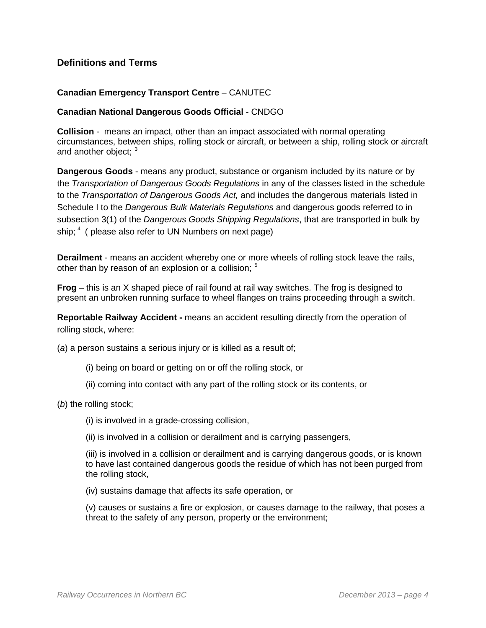# **Definitions and Terms**

#### **Canadian Emergency Transport Centre** – CANUTEC

#### **Canadian National Dangerous Goods Official** - CNDGO

**Collision** - means an impact, other than an impact associated with normal operating circumstances, between ships, rolling stock or aircraft, or between a ship, rolling stock or aircraft and another object;  $3$ 

**Dangerous Goods** - means any product, substance or organism included by its nature or by the *Transportation of Dangerous Goods Regulations* in any of the classes listed in the schedule to the *Transportation of Dangerous Goods Act,* and includes the dangerous materials listed in Schedule I to the *Dangerous Bulk Materials Regulations* and dangerous goods referred to in subsection 3(1) of the *Dangerous Goods Shipping Regulations*, that are transported in bulk by ship;  $4$  ( please also refer to UN Numbers on next page)

**Derailment** - means an accident whereby one or more wheels of rolling stock leave the rails, other than by reason of an explosion or a collision; <sup>[5](#page-46-2)</sup>

**Frog** – this is an X shaped piece of rail found at rail way switches. The frog is designed to present an unbroken running surface to wheel flanges on trains proceeding through a switch.

**Reportable Railway Accident -** means an accident resulting directly from the operation of rolling stock, where:

(*a*) a person sustains a serious injury or is killed as a result of;

- (i) being on board or getting on or off the rolling stock, or
- (ii) coming into contact with any part of the rolling stock or its contents, or

(*b*) the rolling stock;

(i) is involved in a grade-crossing collision,

(ii) is involved in a collision or derailment and is carrying passengers,

(iii) is involved in a collision or derailment and is carrying dangerous goods, or is known to have last contained dangerous goods the residue of which has not been purged from the rolling stock,

(iv) sustains damage that affects its safe operation, or

(v) causes or sustains a fire or explosion, or causes damage to the railway, that poses a threat to the safety of any person, property or the environment;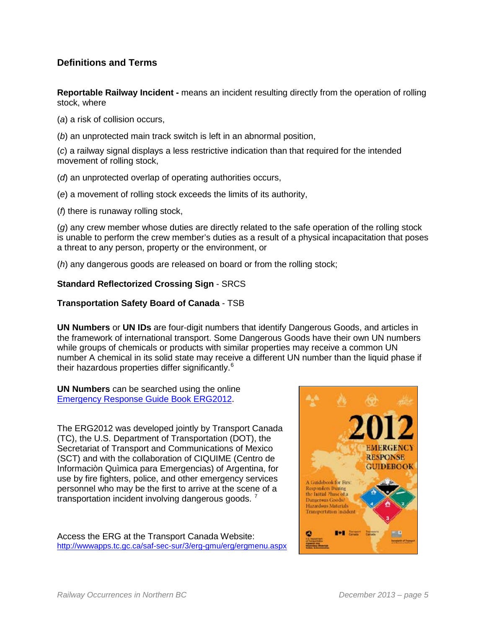# **Definitions and Terms**

**Reportable Railway Incident -** means an incident resulting directly from the operation of rolling stock, where

(*a*) a risk of collision occurs,

(*b*) an unprotected main track switch is left in an abnormal position,

(*c*) a railway signal displays a less restrictive indication than that required for the intended movement of rolling stock,

- (*d*) an unprotected overlap of operating authorities occurs,
- (*e*) a movement of rolling stock exceeds the limits of its authority,

(*f*) there is runaway rolling stock,

(*g*) any crew member whose duties are directly related to the safe operation of the rolling stock is unable to perform the crew member's duties as a result of a physical incapacitation that poses a threat to any person, property or the environment, or

(*h*) any dangerous goods are released on board or from the rolling stock;

## **Standard Reflectorized Crossing Sign** - SRCS

## **Transportation Safety Board of Canada** - TSB

**UN Numbers** or **UN IDs** are four-digit numbers that identify Dangerous Goods, and articles in the framework of international transport. Some Dangerous Goods have their own UN numbers while groups of chemicals or products with similar properties may receive a common UN number A chemical in its solid state may receive a different UN number than the liquid phase if their hazardous properties differ significantly.<sup>[6](#page-46-3)</sup>

**UN Numbers** can be searched using the online [Emergency Response Guide Book ERG2012.](http://wwwapps.tc.gc.ca/saf-sec-sur/3/erg-gmu/erg/ergmenu.aspx)

The ERG2012 was developed jointly by Transport Canada (TC), the U.S. Department of Transportation (DOT), the Secretariat of Transport and Communications of Mexico (SCT) and with the collaboration of CIQUIME (Centro de Informaciòn Quìmica para Emergencias) of Argentina, for use by fire fighters, police, and other emergency services personnel who may be the first to arrive at the scene of a transportation incident involving dangerous goods.<sup>[7](#page-46-4)</sup>

Access the ERG at the Transport Canada Website: <http://wwwapps.tc.gc.ca/saf-sec-sur/3/erg-gmu/erg/ergmenu.aspx>

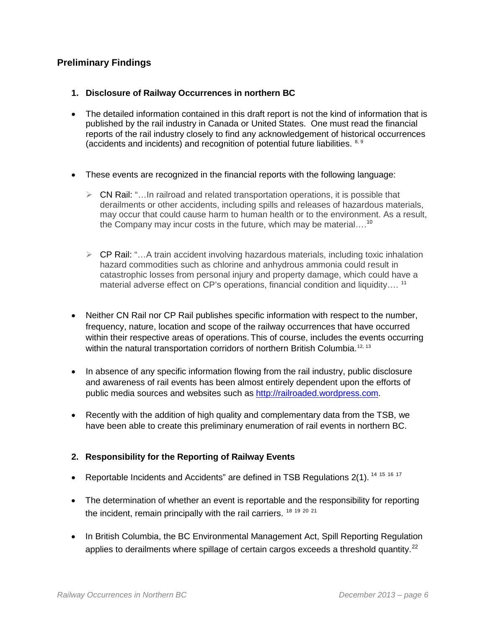# **Preliminary Findings**

- **1. Disclosure of Railway Occurrences in northern BC**
- The detailed information contained in this draft report is not the kind of information that is published by the rail industry in Canada or United States. One must read the financial reports of the rail industry closely to find any acknowledgement of historical occurrences (accidents and incidents) and recognition of potential future liabilities.  $8,9$  $8,9$
- These events are recognized in the financial reports with the following language:
	- CN Rail: "…In railroad and related transportation operations, it is possible that derailments or other accidents, including spills and releases of hazardous materials, may occur that could cause harm to human health or to the environment. As a result, the Company may incur costs in the future, which may be material....<sup>[10](#page-47-2)</sup>
	- $\triangleright$  CP Rail: "...A train accident involving hazardous materials, including toxic inhalation hazard commodities such as chlorine and anhydrous ammonia could result in catastrophic losses from personal injury and property damage, which could have a material adverse effect on CP's operations, financial condition and liquidity....<sup>[11](#page-47-3)</sup>
- Neither CN Rail nor CP Rail publishes specific information with respect to the number, frequency, nature, location and scope of the railway occurrences that have occurred within their respective areas of operations. This of course, includes the events occurring within the natural transportation corridors of northern British Columbia.<sup>[12,](#page-47-4) 13</sup>
- In absence of any specific information flowing from the rail industry, public disclosure and awareness of rail events has been almost entirely dependent upon the efforts of public media sources and websites such as [http://railroaded.wordpress.com.](http://railroaded.wordpress.com/)
- Recently with the addition of high quality and complementary data from the TSB, we have been able to create this preliminary enumeration of rail events in northern BC.

# **2. Responsibility for the Reporting of Railway Events**

- Reportable Incidents and Accidents" are defined in TSB Regulations  $2(1)$ .  $^{14}$  $^{14}$  $^{14}$  [15](#page-47-7) [16](#page-47-8) [17](#page-47-9)
- The determination of whether an event is reportable and the responsibility for reporting the incident, remain principally with the rail carriers. <sup>[18](#page-47-10) [19](#page-47-11) [20](#page-47-12) [21](#page-47-13)</sup>
- In British Columbia, the BC Environmental Management Act, Spill Reporting Regulation applies to derailments where spillage of certain cargos exceeds a threshold quantity. $^{22}$  $^{22}$  $^{22}$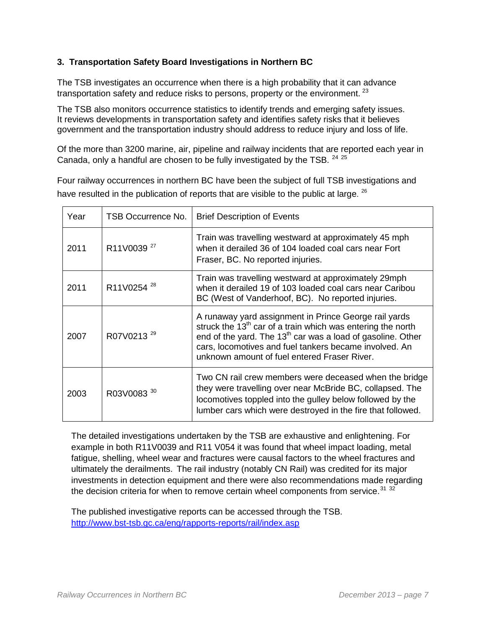# **3. Transportation Safety Board Investigations in Northern BC**

The TSB investigates an occurrence when there is a high probability that it can advance transportation safety and reduce risks to persons, property or the environment.  $23$ 

The TSB also monitors occurrence statistics to identify trends and emerging safety issues. It reviews developments in transportation safety and identifies safety risks that it believes government and the transportation industry should address to reduce injury and loss of life.

Of the more than 3200 marine, air, pipeline and railway incidents that are reported each year in Canada, only a handful are chosen to be fully investigated by the TSB.  $^{24}$  $^{24}$  $^{24}$   $^{25}$  $^{25}$  $^{25}$ 

Four railway occurrences in northern BC have been the subject of full TSB investigations and have resulted in the publication of reports that are visible to the public at large. <sup>[26](#page-48-3)</sup>

| Year | TSB Occurrence No.     | <b>Brief Description of Events</b>                                                                                                                                                                                                                                                                |
|------|------------------------|---------------------------------------------------------------------------------------------------------------------------------------------------------------------------------------------------------------------------------------------------------------------------------------------------|
| 2011 | R11V0039 <sup>27</sup> | Train was travelling westward at approximately 45 mph<br>when it derailed 36 of 104 loaded coal cars near Fort<br>Fraser, BC. No reported injuries.                                                                                                                                               |
| 2011 | R11V0254 <sup>28</sup> | Train was travelling westward at approximately 29mph<br>when it derailed 19 of 103 loaded coal cars near Caribou<br>BC (West of Vanderhoof, BC). No reported injuries.                                                                                                                            |
| 2007 | R07V0213 <sup>29</sup> | A runaway yard assignment in Prince George rail yards<br>struck the $13th$ car of a train which was entering the north<br>end of the yard. The $13th$ car was a load of gasoline. Other<br>cars, locomotives and fuel tankers became involved. An<br>unknown amount of fuel entered Fraser River. |
| 2003 | R03V0083 30            | Two CN rail crew members were deceased when the bridge<br>they were travelling over near McBride BC, collapsed. The<br>locomotives toppled into the gulley below followed by the<br>lumber cars which were destroyed in the fire that followed.                                                   |

The detailed investigations undertaken by the TSB are exhaustive and enlightening. For example in both R11V0039 and R11 V054 it was found that wheel impact loading, metal fatigue, shelling, wheel wear and fractures were causal factors to the wheel fractures and ultimately the derailments. The rail industry (notably CN Rail) was credited for its major investments in detection equipment and there were also recommendations made regarding the decision criteria for when to remove certain wheel components from service. $31\,32$  $31\,32$  $31\,32$ 

The published investigative reports can be accessed through the TSB. <http://www.bst-tsb.gc.ca/eng/rapports-reports/rail/index.asp>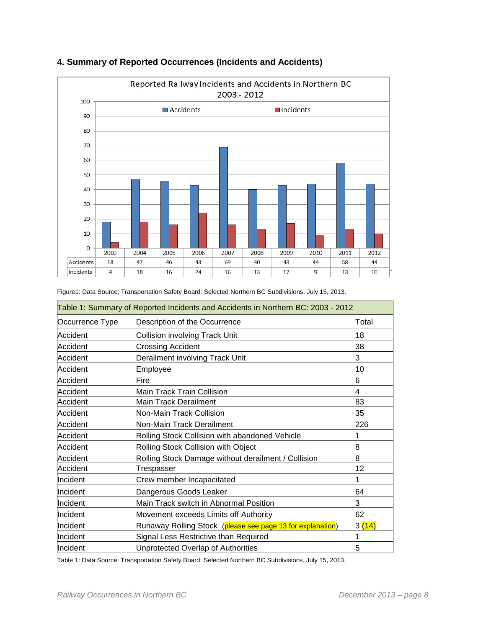

## **4. Summary of Reported Occurrences (Incidents and Accidents)**

|                 | Table 1: Summary of Reported Incidents and Accidents in Northern BC: 2003 - 2012 |                     |
|-----------------|----------------------------------------------------------------------------------|---------------------|
| Occurrence Type | Description of the Occurrence                                                    | Total               |
| Accident        | <b>Collision involving Track Unit</b>                                            | 18                  |
| Accident        | <b>Crossing Accident</b>                                                         | 38                  |
| Accident        | Derailment involving Track Unit                                                  | З                   |
| Accident        | Employee                                                                         | 10                  |
| Accident        | Fire                                                                             | 6                   |
| Accident        | Main Track Train Collision                                                       | 4                   |
| Accident        | Main Track Derailment                                                            | 83                  |
| Accident        | Non-Main Track Collision                                                         | 35                  |
| Accident        | Non-Main Track Derailment                                                        | 226                 |
| Accident        | Rolling Stock Collision with abandoned Vehicle                                   |                     |
| Accident        | Rolling Stock Collision with Object                                              | 8                   |
| Accident        | Rolling Stock Damage without derailment / Collision                              | 8                   |
| Accident        | Trespasser                                                                       | 12                  |
| Incident        | Crew member Incapacitated                                                        |                     |
| Incident        | Dangerous Goods Leaker                                                           | 64                  |
| Incident        | Main Track switch in Abnormal Position                                           | З                   |
| Incident        | Movement exceeds Limits off Authority                                            | 62                  |
| Incident        | Runaway Rolling Stock (please see page 13 for explanation)                       | 3 <mark>(14)</mark> |
| Incident        | Signal Less Restrictive than Required                                            |                     |
| Incident        | Unprotected Overlap of Authorities                                               | 5                   |

|  | Figure1: Data Source; Transportation Safety Board: Selected Northern BC Subdivisions. July 15, 2013. |  |
|--|------------------------------------------------------------------------------------------------------|--|
|  |                                                                                                      |  |

Table 1: Data Source: Transportation Safety Board: Selected Northern BC Subdivisions. July 15, 2013.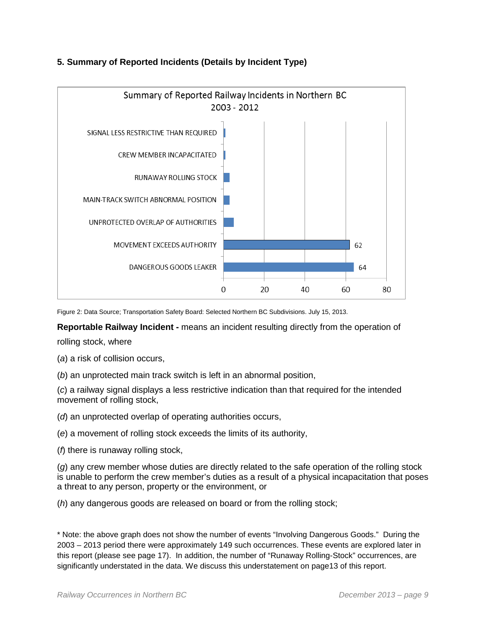

# **5. Summary of Reported Incidents (Details by Incident Type)**

Figure 2: Data Source; Transportation Safety Board: Selected Northern BC Subdivisions. July 15, 2013.

**Reportable Railway Incident -** means an incident resulting directly from the operation of

rolling stock, where

(*a*) a risk of collision occurs,

(*b*) an unprotected main track switch is left in an abnormal position,

(*c*) a railway signal displays a less restrictive indication than that required for the intended movement of rolling stock,

(*d*) an unprotected overlap of operating authorities occurs,

(*e*) a movement of rolling stock exceeds the limits of its authority,

(*f*) there is runaway rolling stock,

(*g*) any crew member whose duties are directly related to the safe operation of the rolling stock is unable to perform the crew member's duties as a result of a physical incapacitation that poses a threat to any person, property or the environment, or

(*h*) any dangerous goods are released on board or from the rolling stock;

\* Note: the above graph does not show the number of events "Involving Dangerous Goods." During the 2003 – 2013 period there were approximately 149 such occurrences. These events are explored later in this report (please see page 17). In addition, the number of "Runaway Rolling-Stock" occurrences, are significantly understated in the data. We discuss this understatement on page13 of this report.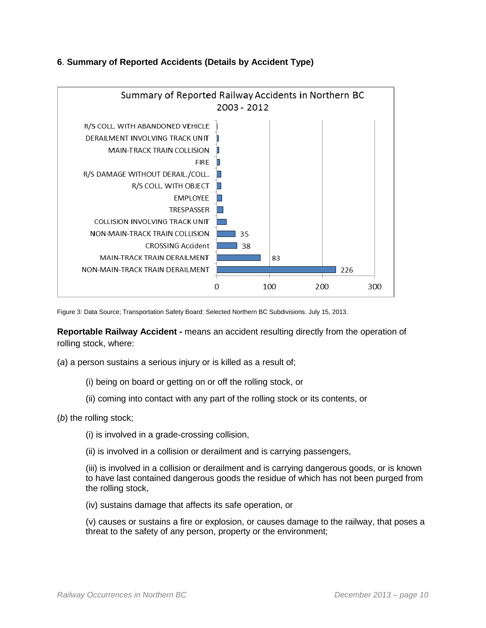

# **6**. **Summary of Reported Accidents (Details by Accident Type)**

Figure 3: Data Source; Transportation Safety Board: Selected Northern BC Subdivisions. July 15, 2013.

**Reportable Railway Accident -** means an accident resulting directly from the operation of rolling stock, where:

(*a*) a person sustains a serious injury or is killed as a result of;

(i) being on board or getting on or off the rolling stock, or

- (ii) coming into contact with any part of the rolling stock or its contents, or
- (*b*) the rolling stock;
	- (i) is involved in a grade-crossing collision,
	- (ii) is involved in a collision or derailment and is carrying passengers,

(iii) is involved in a collision or derailment and is carrying dangerous goods, or is known to have last contained dangerous goods the residue of which has not been purged from the rolling stock,

(iv) sustains damage that affects its safe operation, or

(v) causes or sustains a fire or explosion, or causes damage to the railway, that poses a threat to the safety of any person, property or the environment;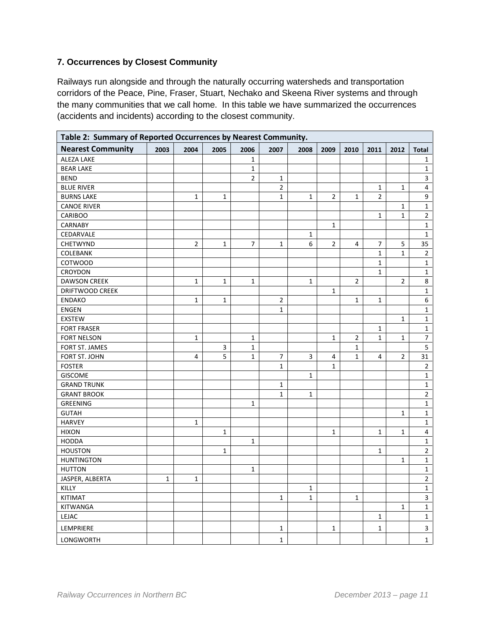# **7. Occurrences by Closest Community**

Railways run alongside and through the naturally occurring watersheds and transportation corridors of the Peace, Pine, Fraser, Stuart, Nechako and Skeena River systems and through the many communities that we call home. In this table we have summarized the occurrences (accidents and incidents) according to the closest community.

| Table 2: Summary of Reported Occurrences by Nearest Community. |             |                |              |                |                |              |                |                |                |                |                |
|----------------------------------------------------------------|-------------|----------------|--------------|----------------|----------------|--------------|----------------|----------------|----------------|----------------|----------------|
| <b>Nearest Community</b>                                       | 2003        | 2004           | 2005         | 2006           | 2007           | 2008         | 2009           | 2010           | 2011           | 2012           | <b>Total</b>   |
| <b>ALEZA LAKE</b>                                              |             |                |              | $\mathbf{1}$   |                |              |                |                |                |                | 1              |
| <b>BEAR LAKE</b>                                               |             |                |              | $\mathbf{1}$   |                |              |                |                |                |                | $\mathbf{1}$   |
| <b>BEND</b>                                                    |             |                |              | $\overline{2}$ | $\mathbf{1}$   |              |                |                |                |                | $\mathbf{3}$   |
| <b>BLUE RIVER</b>                                              |             |                |              |                | $\overline{2}$ |              |                |                | $\mathbf{1}$   | 1              | 4              |
| <b>BURNS LAKE</b>                                              |             | $\mathbf{1}$   | $\mathbf{1}$ |                | $\mathbf{1}$   | $\mathbf{1}$ | $\overline{2}$ | $\mathbf{1}$   | $\overline{2}$ |                | 9              |
| <b>CANOE RIVER</b>                                             |             |                |              |                |                |              |                |                |                | 1              | $\mathbf{1}$   |
| <b>CARIBOO</b>                                                 |             |                |              |                |                |              |                |                | $\mathbf{1}$   | $\mathbf{1}$   | $\overline{2}$ |
| <b>CARNABY</b>                                                 |             |                |              |                |                |              | $\mathbf{1}$   |                |                |                | $\mathbf{1}$   |
| CEDARVALE                                                      |             |                |              |                |                | $\mathbf{1}$ |                |                |                |                | 1              |
| CHETWYND                                                       |             | $\overline{2}$ | $\mathbf{1}$ | 7              | $\mathbf{1}$   | 6            | $\overline{2}$ | $\overline{4}$ | 7              | 5              | 35             |
| COLEBANK                                                       |             |                |              |                |                |              |                |                | $\mathbf{1}$   | $\mathbf{1}$   | $\overline{2}$ |
| <b>COTWOOD</b>                                                 |             |                |              |                |                |              |                |                | $\mathbf{1}$   |                | $\mathbf{1}$   |
| CROYDON                                                        |             |                |              |                |                |              |                |                | $\mathbf{1}$   |                | $\mathbf{1}$   |
| DAWSON CREEK                                                   |             | $\mathbf{1}$   | $\mathbf{1}$ | $\mathbf{1}$   |                | $\mathbf{1}$ |                | $\overline{2}$ |                | $\overline{2}$ | $\bf 8$        |
| DRIFTWOOD CREEK                                                |             |                |              |                |                |              | $\mathbf{1}$   |                |                |                | $\mathbf{1}$   |
| <b>ENDAKO</b>                                                  |             | $\mathbf{1}$   | 1            |                | 2              |              |                | 1              | $\mathbf{1}$   |                | 6              |
| <b>ENGEN</b>                                                   |             |                |              |                | $\mathbf{1}$   |              |                |                |                |                | $\mathbf{1}$   |
| <b>EXSTEW</b>                                                  |             |                |              |                |                |              |                |                |                | 1              | $\mathbf{1}$   |
| <b>FORT FRASER</b>                                             |             |                |              |                |                |              |                |                | $\mathbf{1}$   |                | $\mathbf 1$    |
| <b>FORT NELSON</b>                                             |             | $\mathbf{1}$   |              | $\mathbf{1}$   |                |              | $\mathbf{1}$   | $\overline{2}$ | $\mathbf{1}$   | $\mathbf{1}$   | 7              |
| FORT ST. JAMES                                                 |             |                | 3            | $\mathbf{1}$   |                |              |                | 1              |                |                | 5              |
| FORT ST. JOHN                                                  |             | 4              | 5            | $\mathbf{1}$   | 7              | 3            | 4              | $\mathbf 1$    | 4              | $\overline{2}$ | 31             |
| <b>FOSTER</b>                                                  |             |                |              |                | $\mathbf{1}$   |              | $\mathbf{1}$   |                |                |                | $\overline{2}$ |
| <b>GISCOME</b>                                                 |             |                |              |                |                | $\mathbf{1}$ |                |                |                |                | $\mathbf{1}$   |
| <b>GRAND TRUNK</b>                                             |             |                |              |                | $\mathbf{1}$   |              |                |                |                |                | $\mathbf{1}$   |
| <b>GRANT BROOK</b>                                             |             |                |              |                | $\mathbf{1}$   | $\mathbf{1}$ |                |                |                |                | $\overline{2}$ |
| <b>GREENING</b>                                                |             |                |              | $\mathbf{1}$   |                |              |                |                |                |                | $\mathbf{1}$   |
| <b>GUTAH</b>                                                   |             |                |              |                |                |              |                |                |                | $\mathbf{1}$   | $\mathbf{1}$   |
| <b>HARVEY</b>                                                  |             | 1              |              |                |                |              |                |                |                |                | $\mathbf{1}$   |
| <b>HIXON</b>                                                   |             |                | $\mathbf{1}$ |                |                |              | $\mathbf{1}$   |                | $\mathbf{1}$   | $\mathbf{1}$   | 4              |
| <b>HODDA</b>                                                   |             |                |              | $\mathbf{1}$   |                |              |                |                |                |                | $\mathbf{1}$   |
| <b>HOUSTON</b>                                                 |             |                | $\mathbf{1}$ |                |                |              |                |                | $\mathbf{1}$   |                | $\overline{2}$ |
| <b>HUNTINGTON</b>                                              |             |                |              |                |                |              |                |                |                | $\mathbf{1}$   | $\mathbf{1}$   |
| <b>HUTTON</b>                                                  |             |                |              | $\mathbf{1}$   |                |              |                |                |                |                | $\mathbf{1}$   |
| JASPER, ALBERTA                                                | $\mathbf 1$ | $\mathbf{1}$   |              |                |                |              |                |                |                |                | $\overline{2}$ |
| <b>KILLY</b>                                                   |             |                |              |                |                | $\mathbf 1$  |                |                |                |                | $\mathbf{1}$   |
| KITIMAT                                                        |             |                |              |                | $\mathbf{1}$   | $\mathbf{1}$ |                | $\mathbf 1$    |                |                | 3              |
| KITWANGA                                                       |             |                |              |                |                |              |                |                |                | $\mathbf{1}$   | $\mathbf{1}$   |
| LEJAC                                                          |             |                |              |                |                |              |                |                | 1              |                | $\mathbf 1$    |
| LEMPRIERE                                                      |             |                |              |                | $\mathbf{1}$   |              | $\mathbf{1}$   |                | $\mathbf{1}$   |                | 3              |
| <b>LONGWORTH</b>                                               |             |                |              |                | $\mathbf{1}$   |              |                |                |                |                | $\mathbf 1$    |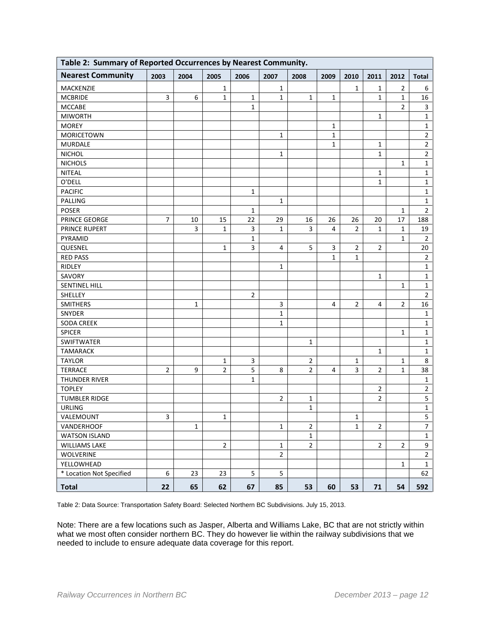| Table 2: Summary of Reported Occurrences by Nearest Community. |                |              |                |                         |                |                |              |                |                |                |                |
|----------------------------------------------------------------|----------------|--------------|----------------|-------------------------|----------------|----------------|--------------|----------------|----------------|----------------|----------------|
| <b>Nearest Community</b>                                       | 2003           | 2004         | 2005           | 2006                    | 2007           | 2008           | 2009         | 2010           | 2011           | 2012           | <b>Total</b>   |
| MACKENZIE                                                      |                |              | $\mathbf{1}$   |                         | 1              |                |              | 1              | 1              | $\overline{2}$ | 6              |
| <b>MCBRIDE</b>                                                 | 3              | 6            | $\mathbf{1}$   | $\mathbf{1}$            | $\mathbf{1}$   | $\mathbf{1}$   | $\mathbf{1}$ |                | $\mathbf{1}$   | $\mathbf{1}$   | 16             |
| <b>MCCABE</b>                                                  |                |              |                | $\mathbf{1}$            |                |                |              |                |                | $\overline{2}$ | 3              |
| <b>MIWORTH</b>                                                 |                |              |                |                         |                |                |              |                | $\mathbf{1}$   |                | $\mathbf{1}$   |
| <b>MOREY</b>                                                   |                |              |                |                         |                |                | 1            |                |                |                | $\mathbf{1}$   |
| <b>MORICETOWN</b>                                              |                |              |                |                         | $\mathbf{1}$   |                | $\mathbf{1}$ |                |                |                | $\overline{2}$ |
| <b>MURDALE</b>                                                 |                |              |                |                         |                |                | $\mathbf{1}$ |                | $\mathbf{1}$   |                | 2              |
| <b>NICHOL</b>                                                  |                |              |                |                         | 1              |                |              |                | $\mathbf{1}$   |                | $\overline{2}$ |
| <b>NICHOLS</b>                                                 |                |              |                |                         |                |                |              |                |                | 1              | 1              |
| <b>NITEAL</b>                                                  |                |              |                |                         |                |                |              |                | 1              |                | 1              |
| O'DELL                                                         |                |              |                |                         |                |                |              |                | $\mathbf{1}$   |                | $\mathbf{1}$   |
| <b>PACIFIC</b>                                                 |                |              |                | $\mathbf{1}$            |                |                |              |                |                |                | $\mathbf{1}$   |
| <b>PALLING</b>                                                 |                |              |                |                         | $\mathbf{1}$   |                |              |                |                |                | 1              |
| <b>POSER</b>                                                   |                |              |                | $\mathbf{1}$            |                |                |              |                |                | 1              | $\mathbf 2$    |
| PRINCE GEORGE                                                  | $\overline{7}$ | 10           | 15             | 22                      | 29             | 16             | 26           | 26             | 20             | 17             | 188            |
| PRINCE RUPERT                                                  |                | 3            | 1              | 3                       | 1              | 3              | 4            | $\overline{2}$ | 1              | 1              | 19             |
| PYRAMID                                                        |                |              |                | $\mathbf{1}$            |                |                |              |                |                | 1              | $\overline{2}$ |
| QUESNEL                                                        |                |              | 1              | $\overline{\mathbf{3}}$ | 4              | 5              | 3            | 2              | 2              |                | 20             |
| <b>RED PASS</b>                                                |                |              |                |                         |                |                | $\mathbf{1}$ | $\mathbf{1}$   |                |                | $\overline{2}$ |
| RIDLEY                                                         |                |              |                |                         | 1              |                |              |                |                |                | $\mathbf{1}$   |
| SAVORY                                                         |                |              |                |                         |                |                |              |                | 1              |                | $\mathbf{1}$   |
| SENTINEL HILL                                                  |                |              |                |                         |                |                |              |                |                | 1              | $\mathbf{1}$   |
| SHELLEY                                                        |                |              |                | $\overline{2}$          |                |                |              |                |                |                | $\mathbf 2$    |
| <b>SMITHERS</b>                                                |                | 1            |                |                         | 3              |                | 4            | 2              | 4              | $\overline{2}$ | 16             |
| SNYDER                                                         |                |              |                |                         | 1              |                |              |                |                |                | 1              |
| <b>SODA CREEK</b>                                              |                |              |                |                         | $\mathbf 1$    |                |              |                |                |                | 1              |
| <b>SPICER</b>                                                  |                |              |                |                         |                |                |              |                |                | $\mathbf{1}$   | $\mathbf{1}$   |
| <b>SWIFTWATER</b>                                              |                |              |                |                         |                | 1              |              |                |                |                | 1              |
| <b>TAMARACK</b>                                                |                |              |                |                         |                |                |              |                | 1              |                | 1              |
| <b>TAYLOR</b>                                                  |                |              | 1              | 3                       |                | $\overline{2}$ |              | 1              |                | 1              | 8              |
| <b>TERRACE</b>                                                 | $\overline{2}$ | 9            | $\overline{2}$ | 5                       | 8              | $\overline{2}$ | 4            | 3              | $\overline{2}$ | $\mathbf{1}$   | 38             |
| THUNDER RIVER                                                  |                |              |                | $\mathbf{1}$            |                |                |              |                |                |                | 1              |
| <b>TOPLEY</b>                                                  |                |              |                |                         |                |                |              |                | 2              |                | $\overline{2}$ |
| <b>TUMBLER RIDGE</b>                                           |                |              |                |                         | 2              | 1              |              |                | $\overline{2}$ |                | 5              |
| <b>URLING</b>                                                  |                |              |                |                         |                | $\mathbf 1$    |              |                |                |                | $\mathbf 1$    |
| VALEMOUNT                                                      | 3              |              | $\mathbf{1}$   |                         |                |                |              | $\mathbf{1}$   |                |                | 5              |
| <b>VANDERHOOF</b>                                              |                | $\mathbf{1}$ |                |                         | $\mathbf{1}$   | $\overline{2}$ |              | $\mathbf{1}$   | $\overline{2}$ |                | $\overline{7}$ |
| <b>WATSON ISLAND</b>                                           |                |              |                |                         |                | $\mathbf{1}$   |              |                |                |                | $\mathbf{1}$   |
| <b>WILLIAMS LAKE</b>                                           |                |              | $\overline{2}$ |                         | $\mathbf{1}$   | $\overline{2}$ |              |                | $\overline{2}$ | $\overline{2}$ | 9              |
| <b>WOLVERINE</b>                                               |                |              |                |                         | $\overline{2}$ |                |              |                |                |                | $\overline{2}$ |
| YELLOWHEAD                                                     |                |              |                |                         |                |                |              |                |                | $\mathbf{1}$   | $\mathbf{1}$   |
| * Location Not Specified                                       | 6              | 23           | 23             | 5                       | 5              |                |              |                |                |                | 62             |
| <b>Total</b>                                                   | 22             | 65           | 62             | 67                      | 85             | 53             | 60           | 53             | 71             | 54             | 592            |

Table 2: Data Source: Transportation Safety Board: Selected Northern BC Subdivisions. July 15, 2013.

Note: There are a few locations such as Jasper, Alberta and Williams Lake, BC that are not strictly within what we most often consider northern BC. They do however lie within the railway subdivisions that we needed to include to ensure adequate data coverage for this report.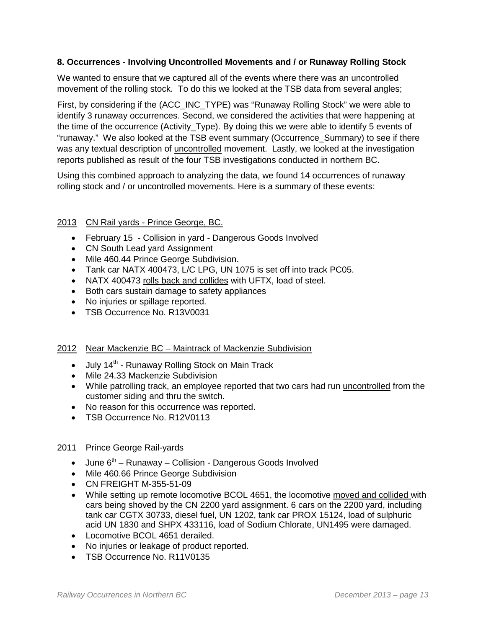## **8. Occurrences - Involving Uncontrolled Movements and / or Runaway Rolling Stock**

We wanted to ensure that we captured all of the events where there was an uncontrolled movement of the rolling stock. To do this we looked at the TSB data from several angles;

First, by considering if the (ACC\_INC\_TYPE) was "Runaway Rolling Stock" we were able to identify 3 runaway occurrences. Second, we considered the activities that were happening at the time of the occurrence (Activity\_Type). By doing this we were able to identify 5 events of "runaway." We also looked at the TSB event summary (Occurrence\_Summary) to see if there was any textual description of uncontrolled movement. Lastly, we looked at the investigation reports published as result of the four TSB investigations conducted in northern BC.

Using this combined approach to analyzing the data, we found 14 occurrences of runaway rolling stock and / or uncontrolled movements. Here is a summary of these events:

## 2013 CN Rail yards - Prince George, BC.

- February 15 Collision in yard Dangerous Goods Involved
- CN South Lead yard Assignment
- Mile 460.44 Prince George Subdivision.
- Tank car NATX 400473, L/C LPG, UN 1075 is set off into track PC05.
- NATX 400473 rolls back and collides with UFTX, load of steel.
- Both cars sustain damage to safety appliances
- No injuries or spillage reported.
- TSB Occurrence No. R13V0031

## 2012 Near Mackenzie BC – Maintrack of Mackenzie Subdivision

- July  $14<sup>th</sup>$  Runaway Rolling Stock on Main Track
- Mile 24.33 Mackenzie Subdivision
- While patrolling track, an employee reported that two cars had run uncontrolled from the customer siding and thru the switch.
- No reason for this occurrence was reported.
- TSB Occurrence No. R12V0113

## 2011 Prince George Rail-yards

- June  $6<sup>th</sup>$  Runaway Collision Dangerous Goods Involved
- Mile 460.66 Prince George Subdivision
- CN FREIGHT M-355-51-09
- While setting up remote locomotive BCOL 4651, the locomotive moved and collided with cars being shoved by the CN 2200 yard assignment. 6 cars on the 2200 yard, including tank car CGTX 30733, diesel fuel, UN 1202, tank car PROX 15124, load of sulphuric acid UN 1830 and SHPX 433116, load of Sodium Chlorate, UN1495 were damaged.
- Locomotive BCOL 4651 derailed.
- No injuries or leakage of product reported.
- TSB Occurrence No. R11V0135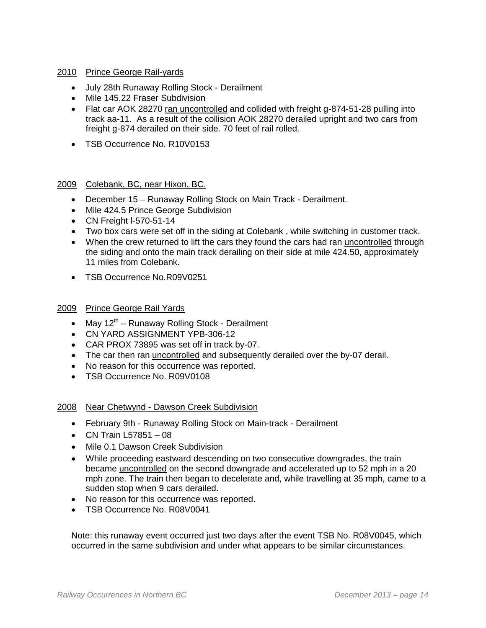## 2010 Prince George Rail-yards

- July 28th Runaway Rolling Stock Derailment
- Mile 145.22 Fraser Subdivision
- Flat car AOK 28270 ran uncontrolled and collided with freight g-874-51-28 pulling into track aa-11. As a result of the collision AOK 28270 derailed upright and two cars from freight g-874 derailed on their side. 70 feet of rail rolled.
- TSB Occurrence No. R10V0153

#### 2009 Colebank, BC, near Hixon, BC.

- December 15 Runaway Rolling Stock on Main Track Derailment.
- Mile 424.5 Prince George Subdivision
- CN Freight l-570-51-14
- Two box cars were set off in the siding at Colebank , while switching in customer track.
- When the crew returned to lift the cars they found the cars had ran uncontrolled through the siding and onto the main track derailing on their side at mile 424.50, approximately 11 miles from Colebank.
- TSB Occurrence No.R09V0251

#### 2009 Prince George Rail Yards

- May  $12^{th}$  Runaway Rolling Stock Derailment
- CN YARD ASSIGNMENT YPB-306-12
- CAR PROX 73895 was set off in track by-07.
- The car then ran uncontrolled and subsequently derailed over the by-07 derail.
- No reason for this occurrence was reported.
- TSB Occurrence No. R09V0108

#### 2008 Near Chetwynd - Dawson Creek Subdivision

- February 9th Runaway Rolling Stock on Main-track Derailment
- CN Train L57851 08
- Mile 0.1 Dawson Creek Subdivision
- While proceeding eastward descending on two consecutive downgrades, the train became uncontrolled on the second downgrade and accelerated up to 52 mph in a 20 mph zone. The train then began to decelerate and, while travelling at 35 mph, came to a sudden stop when 9 cars derailed.
- No reason for this occurrence was reported.
- TSB Occurrence No. R08V0041

Note: this runaway event occurred just two days after the event TSB No. R08V0045, which occurred in the same subdivision and under what appears to be similar circumstances.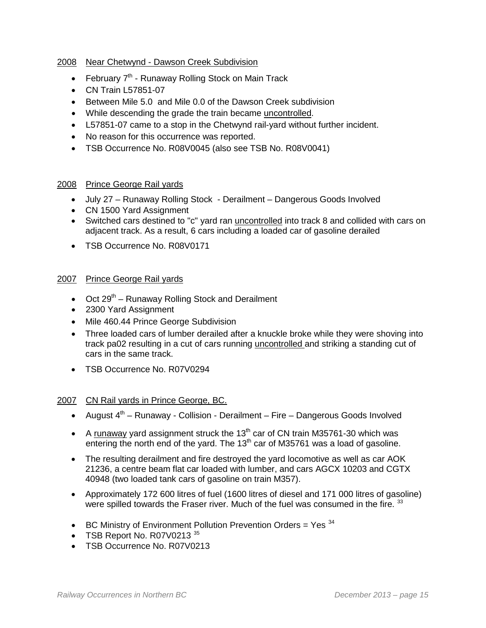## 2008 Near Chetwynd - Dawson Creek Subdivision

- February  $7<sup>th</sup>$  Runaway Rolling Stock on Main Track
- CN Train L57851-07
- Between Mile 5.0 and Mile 0.0 of the Dawson Creek subdivision
- While descending the grade the train became uncontrolled.
- L57851-07 came to a stop in the Chetwynd rail-yard without further incident.
- No reason for this occurrence was reported.
- TSB Occurrence No. R08V0045 (also see TSB No. R08V0041)

#### 2008 Prince George Rail yards

- July 27 Runaway Rolling Stock Derailment Dangerous Goods Involved
- CN 1500 Yard Assignment
- Switched cars destined to "c" yard ran uncontrolled into track 8 and collided with cars on adjacent track. As a result, 6 cars including a loaded car of gasoline derailed
- TSB Occurrence No. R08V0171

#### 2007 Prince George Rail yards

- Oct  $29<sup>th</sup>$  Runaway Rolling Stock and Derailment
- 2300 Yard Assignment
- Mile 460.44 Prince George Subdivision
- Three loaded cars of lumber derailed after a knuckle broke while they were shoving into track pa02 resulting in a cut of cars running uncontrolled and striking a standing cut of cars in the same track.
- TSB Occurrence No. R07V0294

#### 2007 CN Rail yards in Prince George, BC.

- August  $4<sup>th</sup>$  Runaway Collision Derailment Fire Dangerous Goods Involved
- A runaway yard assignment struck the  $13<sup>th</sup>$  car of CN train M35761-30 which was entering the north end of the yard. The 13<sup>th</sup> car of M35761 was a load of gasoline.
- The resulting derailment and fire destroyed the yard locomotive as well as car AOK 21236, a centre beam flat car loaded with lumber, and cars AGCX 10203 and CGTX 40948 (two loaded tank cars of gasoline on train M357).
- Approximately 172 600 litres of fuel (1600 litres of diesel and 171 000 litres of gasoline) were spilled towards the Fraser river. Much of the fuel was consumed in the fire. [33](#page-48-10)
- BC Ministry of Environment Pollution Prevention Orders = Yes  $34$
- TSB Report No. R07V0213 [35](#page-48-12)
- TSB Occurrence No. R07V0213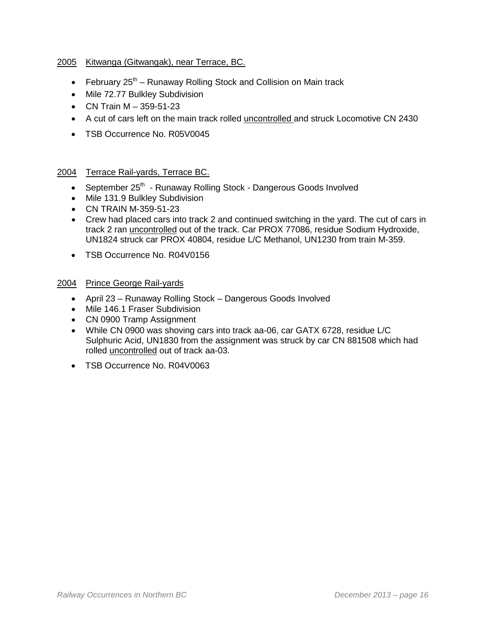## 2005 Kitwanga (Gitwangak), near Terrace, BC.

- February  $25<sup>th</sup>$  Runaway Rolling Stock and Collision on Main track
- Mile 72.77 Bulkley Subdivision
- CN Train M 359-51-23
- A cut of cars left on the main track rolled uncontrolled and struck Locomotive CN 2430
- TSB Occurrence No. R05V0045

#### 2004 Terrace Rail-yards, Terrace BC.

- September 25<sup>th</sup> Runaway Rolling Stock Dangerous Goods Involved
- Mile 131.9 Bulkley Subdivision
- CN TRAIN M-359-51-23
- Crew had placed cars into track 2 and continued switching in the yard. The cut of cars in track 2 ran uncontrolled out of the track. Car PROX 77086, residue Sodium Hydroxide, UN1824 struck car PROX 40804, residue L/C Methanol, UN1230 from train M-359.
- TSB Occurrence No. R04V0156
- 2004 Prince George Rail-yards
	- April 23 Runaway Rolling Stock Dangerous Goods Involved
	- Mile 146.1 Fraser Subdivision
	- CN 0900 Tramp Assignment
	- While CN 0900 was shoving cars into track aa-06, car GATX 6728, residue L/C Sulphuric Acid, UN1830 from the assignment was struck by car CN 881508 which had rolled uncontrolled out of track aa-03.
	- TSB Occurrence No. R04V0063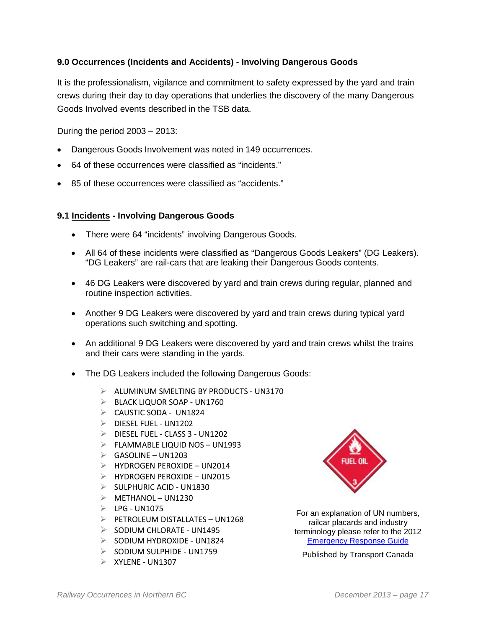## **9.0 Occurrences (Incidents and Accidents) - Involving Dangerous Goods**

It is the professionalism, vigilance and commitment to safety expressed by the yard and train crews during their day to day operations that underlies the discovery of the many Dangerous Goods Involved events described in the TSB data.

During the period 2003 – 2013:

- Dangerous Goods Involvement was noted in 149 occurrences.
- 64 of these occurrences were classified as "incidents."
- 85 of these occurrences were classified as "accidents."

#### **9.1 Incidents - Involving Dangerous Goods**

- There were 64 "incidents" involving Dangerous Goods.
- All 64 of these incidents were classified as "Dangerous Goods Leakers" (DG Leakers). "DG Leakers" are rail-cars that are leaking their Dangerous Goods contents.
- 46 DG Leakers were discovered by yard and train crews during regular, planned and routine inspection activities.
- Another 9 DG Leakers were discovered by yard and train crews during typical yard operations such switching and spotting.
- An additional 9 DG Leakers were discovered by yard and train crews whilst the trains and their cars were standing in the yards.
- The DG Leakers included the following Dangerous Goods:
	- $\triangleright$  ALUMINUM SMELTING BY PRODUCTS UN3170
	- $\triangleright$  BLACK LIQUOR SOAP UN1760
	- $\triangleright$  CAUSTIC SODA UN1824
	- $\triangleright$  DIESEL FUEL UN1202
	- $\triangleright$  DIESEL FUEL CLASS 3 UN1202
	- $\triangleright$  FLAMMABLE LIQUID NOS UN1993
	- $\triangleright$  GASOLINE UN1203
	- $\triangleright$  HYDROGEN PEROXIDE UN2014
	- $\triangleright$  HYDROGEN PEROXIDE UN2015
	- $\triangleright$  SULPHURIC ACID UN1830
	- $\triangleright$  METHANOL UN1230
	- $\triangleright$  LPG UN1075
	- $\triangleright$  PETROLEUM DISTALLATES UN1268
	- $\geq$  SODIUM CHLORATE UN1495
	- $\geqslant$  SODIUM HYDROXIDE UN1824
	- $\geqslant$  SODIUM SULPHIDE UN1759
	- $\triangleright$  XYLENE UN1307



For an explanation of UN numbers, railcar placards and industry terminology please refer to the 2012 [Emergency Response Guide](http://wwwapps.tc.gc.ca/saf-sec-sur/3/erg-gmu/erg/ergmenu.aspx)

Published by Transport Canada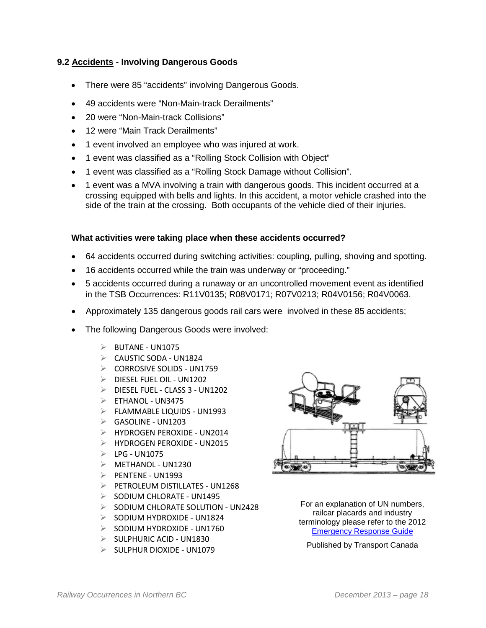## **9.2 Accidents - Involving Dangerous Goods**

- There were 85 "accidents" involving Dangerous Goods.
- 49 accidents were "Non-Main-track Derailments"
- 20 were "Non-Main-track Collisions"
- 12 were "Main Track Derailments"
- 1 event involved an employee who was injured at work.
- 1 event was classified as a "Rolling Stock Collision with Object"
- 1 event was classified as a "Rolling Stock Damage without Collision".
- 1 event was a MVA involving a train with dangerous goods. This incident occurred at a crossing equipped with bells and lights. In this accident, a motor vehicle crashed into the side of the train at the crossing. Both occupants of the vehicle died of their injuries.

## **What activities were taking place when these accidents occurred?**

- 64 accidents occurred during switching activities: coupling, pulling, shoving and spotting.
- 16 accidents occurred while the train was underway or "proceeding."
- 5 accidents occurred during a runaway or an uncontrolled movement event as identified in the TSB Occurrences: R11V0135; R08V0171; R07V0213; R04V0156; R04V0063.
- Approximately 135 dangerous goods rail cars were involved in these 85 accidents;
- The following Dangerous Goods were involved:
	- $\triangleright$  BUTANE UN1075
	- $\triangleright$  CAUSTIC SODA UN1824
	- $\triangleright$  CORROSIVE SOLIDS UN1759
	- $\triangleright$  DIESEL FUEL OIL UN1202
	- $\triangleright$  DIESEL FUEL CLASS 3 UN1202
	- $\triangleright$  ETHANOL UN3475
	- $\triangleright$  FLAMMABLE LIQUIDS UN1993
	- $\triangleright$  GASOLINE UN1203
	- HYDROGEN PEROXIDE UN2014
	- HYDROGEN PEROXIDE UN2015
	- $\triangleright$  LPG UN1075
	- $\triangleright$  METHANOL UN1230
	- $\triangleright$  PENTENE UN1993
	- $\triangleright$  PFTROLFUM DISTILLATES UN1268
	- $\geq$  SODIUM CHLORATE UN1495
	- $\triangleright$  SODIUM CHLORATE SOLUTION UN2428
	- $\geqslant$  SODIUM HYDROXIDE UN1824
	- $\geqslant$  SODIUM HYDROXIDE UN1760
	- $\triangleright$  SULPHURIC ACID UN1830
	- $\geq$  SULPHUR DIOXIDE UN1079



For an explanation of UN numbers, railcar placards and industry terminology please refer to the 2012 [Emergency Response Guide](http://wwwapps.tc.gc.ca/saf-sec-sur/3/erg-gmu/erg/ergmenu.aspx)

Published by Transport Canada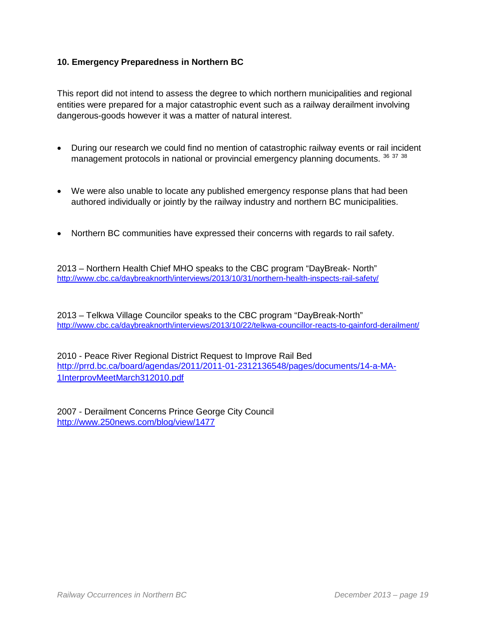## **10. Emergency Preparedness in Northern BC**

This report did not intend to assess the degree to which northern municipalities and regional entities were prepared for a major catastrophic event such as a railway derailment involving dangerous-goods however it was a matter of natural interest.

- During our research we could find no mention of catastrophic railway events or rail incident management protocols in national or provincial emergency planning documents. <sup>[36](#page-49-0)</sup> [37](#page-49-1) [38](#page-49-2)
- We were also unable to locate any published emergency response plans that had been authored individually or jointly by the railway industry and northern BC municipalities.
- Northern BC communities have expressed their concerns with regards to rail safety.

2013 – Northern Health Chief MHO speaks to the CBC program "DayBreak- North" <http://www.cbc.ca/daybreaknorth/interviews/2013/10/31/northern-health-inspects-rail-safety/>

2013 – Telkwa Village Councilor speaks to the CBC program "DayBreak-North" <http://www.cbc.ca/daybreaknorth/interviews/2013/10/22/telkwa-councillor-reacts-to-gainford-derailment/>

2010 - Peace River Regional District Request to Improve Rail Bed [http://prrd.bc.ca/board/agendas/2011/2011-01-2312136548/pages/documents/14-a-MA-](http://prrd.bc.ca/board/agendas/2011/2011-01-2312136548/pages/documents/14-a-MA-1InterprovMeetMarch312010.pdf)[1InterprovMeetMarch312010.pdf](http://prrd.bc.ca/board/agendas/2011/2011-01-2312136548/pages/documents/14-a-MA-1InterprovMeetMarch312010.pdf)

2007 - Derailment Concerns Prince George City Council <http://www.250news.com/blog/view/1477>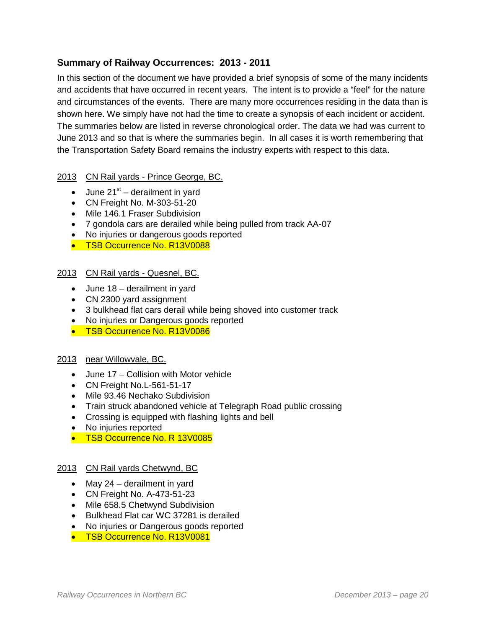# **Summary of Railway Occurrences: 2013 - 2011**

In this section of the document we have provided a brief synopsis of some of the many incidents and accidents that have occurred in recent years. The intent is to provide a "feel" for the nature and circumstances of the events. There are many more occurrences residing in the data than is shown here. We simply have not had the time to create a synopsis of each incident or accident. The summaries below are listed in reverse chronological order. The data we had was current to June 2013 and so that is where the summaries begin. In all cases it is worth remembering that the Transportation Safety Board remains the industry experts with respect to this data.

## 2013 CN Rail yards - Prince George, BC.

- June  $21^{st}$  derailment in yard
- CN Freight No. M-303-51-20
- Mile 146.1 Fraser Subdivision
- 7 gondola cars are derailed while being pulled from track AA-07
- No injuries or dangerous goods reported
- TSB Occurrence No. R13V0088

## 2013 CN Rail yards - Quesnel, BC.

- June 18 derailment in yard
- CN 2300 yard assignment
- 3 bulkhead flat cars derail while being shoved into customer track
- No injuries or Dangerous goods reported
- TSB Occurrence No. R13V0086

## 2013 near Willowvale, BC.

- June 17 Collision with Motor vehicle
- CN Freight No.L-561-51-17
- Mile 93.46 Nechako Subdivision
- Train struck abandoned vehicle at Telegraph Road public crossing
- Crossing is equipped with flashing lights and bell
- No injuries reported
- TSB Occurrence No. R 13V0085

## 2013 CN Rail yards Chetwynd, BC

- May 24 derailment in yard
- CN Freight No. A-473-51-23
- Mile 658.5 Chetwynd Subdivision
- Bulkhead Flat car WC 37281 is derailed
- No injuries or Dangerous goods reported
- TSB Occurrence No. R13V0081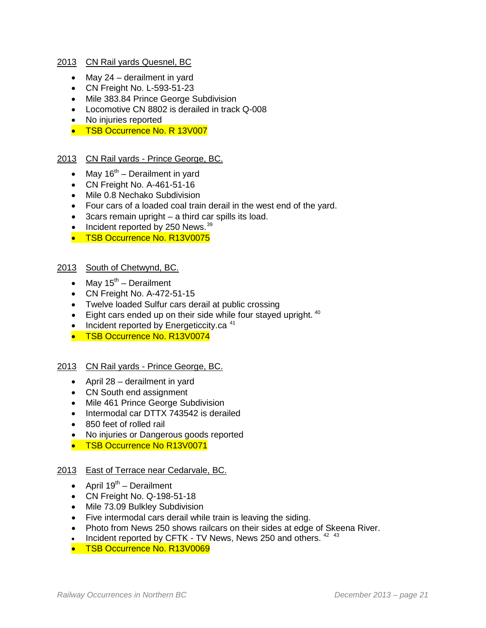#### 2013 CN Rail yards Quesnel, BC

- May 24 derailment in yard
- CN Freight No. L-593-51-23
- Mile 383.84 Prince George Subdivision
- Locomotive CN 8802 is derailed in track Q-008
- No injuries reported
- TSB Occurrence No. R 13V007

## 2013 CN Rail yards - Prince George, BC.

- May  $16<sup>th</sup>$  Derailment in yard
- CN Freight No. A-461-51-16
- Mile 0.8 Nechako Subdivision
- Four cars of a loaded coal train derail in the west end of the yard.
- 3cars remain upright a third car spills its load.
- Incident reported by 250 News.  $39$
- TSB Occurrence No. R13V0075

## 2013 South of Chetwynd, BC.

- May  $15^{\text{th}}$  Derailment
- CN Freight No. A-472-51-15
- Twelve loaded Sulfur cars derail at public crossing
- $\bullet$  Eight cars ended up on their side while four stayed upright.  $40$
- Incident reported by Energeticcity.ca  $41$
- TSB Occurrence No. R13V0074

#### 2013 CN Rail yards - Prince George, BC.

- April 28 derailment in yard
- CN South end assignment
- Mile 461 Prince George Subdivision
- Intermodal car DTTX 743542 is derailed
- 850 feet of rolled rail
- No injuries or Dangerous goods reported
- TSB Occurrence No R13V0071

#### 2013 East of Terrace near Cedarvale, BC.

- April  $19^{th}$  Derailment
- CN Freight No. Q-198-51-18
- Mile 73.09 Bulkley Subdivision
- Five intermodal cars derail while train is leaving the siding.
- Photo from News 250 shows railcars on their sides at edge of Skeena River.
- Incident reported by CFTK TV News, News 250 and others.  $42$   $43$
- TSB Occurrence No. R13V0069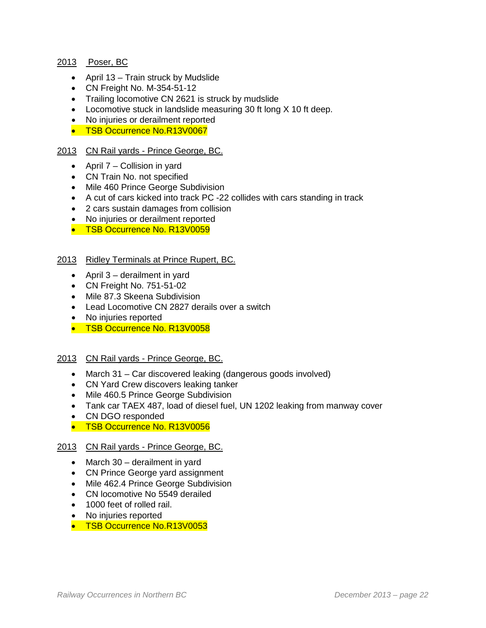## 2013 Poser, BC

- April 13 Train struck by Mudslide
- CN Freight No. M-354-51-12
- Trailing locomotive CN 2621 is struck by mudslide
- Locomotive stuck in landslide measuring 30 ft long X 10 ft deep.
- No injuries or derailment reported
- TSB Occurrence No.R13V0067

## 2013 CN Rail yards - Prince George, BC.

- April 7 Collision in yard
- CN Train No. not specified
- Mile 460 Prince George Subdivision
- A cut of cars kicked into track PC -22 collides with cars standing in track
- 2 cars sustain damages from collision
- No injuries or derailment reported
- TSB Occurrence No. R13V0059

#### 2013 Ridley Terminals at Prince Rupert, BC.

- April 3 derailment in yard
- CN Freight No. 751-51-02
- Mile 87.3 Skeena Subdivision
- Lead Locomotive CN 2827 derails over a switch
- No injuries reported
- TSB Occurrence No. R13V0058

#### 2013 CN Rail yards - Prince George, BC.

- March 31 Car discovered leaking (dangerous goods involved)
- CN Yard Crew discovers leaking tanker
- Mile 460.5 Prince George Subdivision
- Tank car TAEX 487, load of diesel fuel, UN 1202 leaking from manway cover
- CN DGO responded
- TSB Occurrence No. R13V0056

#### 2013 CN Rail yards - Prince George, BC.

- March 30 derailment in yard
- CN Prince George yard assignment
- Mile 462.4 Prince George Subdivision
- CN locomotive No 5549 derailed
- 1000 feet of rolled rail.
- No injuries reported
- TSB Occurrence No.R13V0053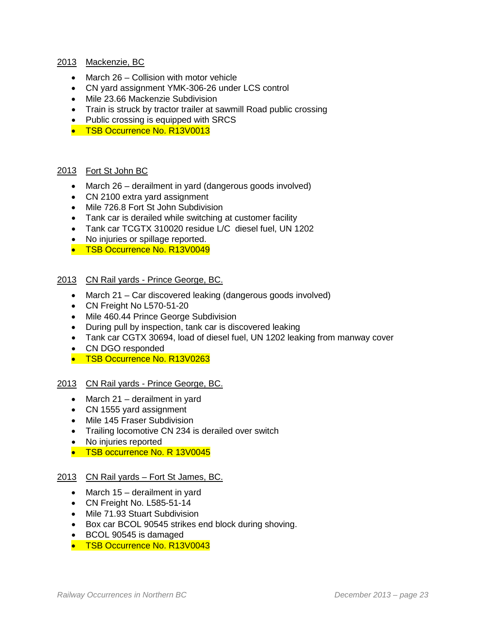## 2013 Mackenzie, BC

- March 26 Collision with motor vehicle
- CN yard assignment YMK-306-26 under LCS control
- Mile 23.66 Mackenzie Subdivision
- Train is struck by tractor trailer at sawmill Road public crossing
- Public crossing is equipped with SRCS
- TSB Occurrence No. R13V0013

#### 2013 Fort St John BC

- March 26 derailment in yard (dangerous goods involved)
- CN 2100 extra yard assignment
- Mile 726.8 Fort St John Subdivision
- Tank car is derailed while switching at customer facility
- Tank car TCGTX 310020 residue L/C diesel fuel, UN 1202
- No injuries or spillage reported.
- TSB Occurrence No. R13V0049
- 2013 CN Rail yards Prince George, BC.
	- March 21 Car discovered leaking (dangerous goods involved)
	- CN Freight No L570-51-20
	- Mile 460.44 Prince George Subdivision
	- During pull by inspection, tank car is discovered leaking
	- Tank car CGTX 30694, load of diesel fuel, UN 1202 leaking from manway cover
	- CN DGO responded
	- TSB Occurrence No. R13V0263

#### 2013 CN Rail yards - Prince George, BC.

- March 21 derailment in yard
- CN 1555 yard assignment
- Mile 145 Fraser Subdivision
- Trailing locomotive CN 234 is derailed over switch
- No injuries reported
- TSB occurrence No. R 13V0045

## 2013 CN Rail yards - Fort St James, BC.

- March 15 derailment in yard
- CN Freight No. L585-51-14
- Mile 71.93 Stuart Subdivision
- Box car BCOL 90545 strikes end block during shoving.
- BCOL 90545 is damaged
- TSB Occurrence No. R13V0043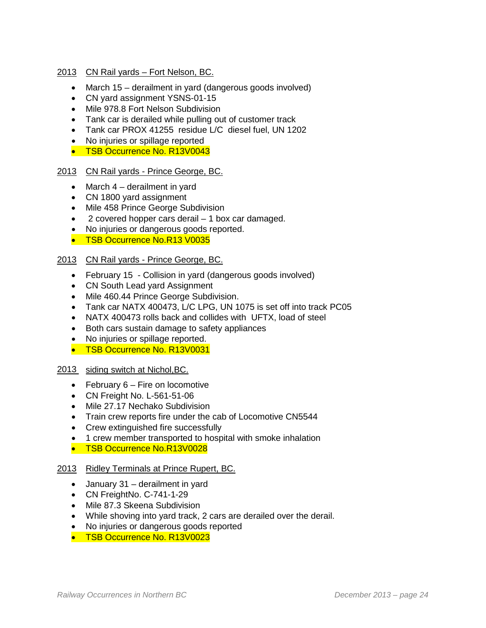## 2013 CN Rail yards – Fort Nelson, BC.

- March 15 derailment in yard (dangerous goods involved)
- CN yard assignment YSNS-01-15
- Mile 978.8 Fort Nelson Subdivision
- Tank car is derailed while pulling out of customer track
- Tank car PROX 41255 residue L/C diesel fuel, UN 1202
- No injuries or spillage reported
- TSB Occurrence No. R13V0043

## 2013 CN Rail yards - Prince George, BC.

- March 4 derailment in yard
- CN 1800 yard assignment
- Mile 458 Prince George Subdivision
- 2 covered hopper cars derail 1 box car damaged.
- No injuries or dangerous goods reported.
- TSB Occurrence No.R13 V0035

## 2013 CN Rail yards - Prince George, BC.

- February 15 Collision in yard (dangerous goods involved)
- CN South Lead yard Assignment
- Mile 460.44 Prince George Subdivision.
- Tank car NATX 400473, L/C LPG, UN 1075 is set off into track PC05
- NATX 400473 rolls back and collides with UFTX, load of steel
- Both cars sustain damage to safety appliances
- No injuries or spillage reported.
- TSB Occurrence No. R13V0031

## 2013 siding switch at Nichol,BC.

- February 6 Fire on locomotive
- CN Freight No. L-561-51-06
- Mile 27.17 Nechako Subdivision
- Train crew reports fire under the cab of Locomotive CN5544
- Crew extinguished fire successfully
- 1 crew member transported to hospital with smoke inhalation
- TSB Occurrence No.R13V0028

## 2013 Ridley Terminals at Prince Rupert, BC.

- January 31 derailment in yard
- CN FreightNo. C-741-1-29
- Mile 87.3 Skeena Subdivision
- While shoving into yard track, 2 cars are derailed over the derail.
- No injuries or dangerous goods reported
- TSB Occurrence No. R13V0023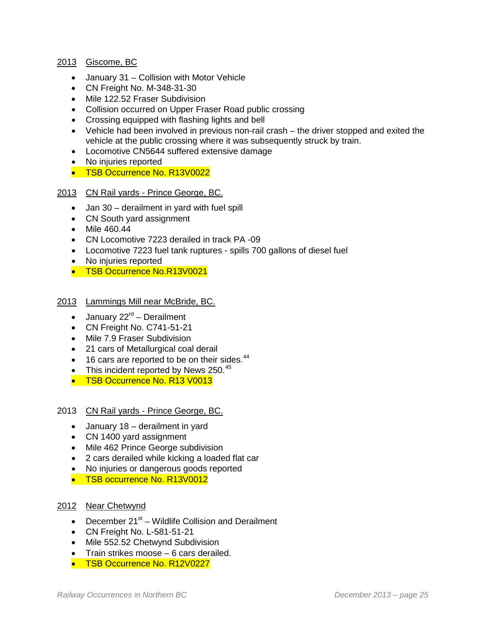## 2013 Giscome, BC

- January 31 Collision with Motor Vehicle
- CN Freight No. M-348-31-30
- Mile 122.52 Fraser Subdivision
- Collision occurred on Upper Fraser Road public crossing
- Crossing equipped with flashing lights and bell
- Vehicle had been involved in previous non-rail crash the driver stopped and exited the vehicle at the public crossing where it was subsequently struck by train.
- Locomotive CN5644 suffered extensive damage
- No injuries reported
- TSB Occurrence No. R13V0022

## 2013 CN Rail yards - Prince George, BC.

- Jan 30 derailment in yard with fuel spill
- CN South yard assignment
- Mile 460.44
- CN Locomotive 7223 derailed in track PA -09
- Locomotive 7223 fuel tank ruptures spills 700 gallons of diesel fuel
- No injuries reported
- TSB Occurrence No.R13V0021

#### 2013 Lammings Mill near McBride, BC.

- January  $22^{rd}$  Derailment
- CN Freight No. C741-51-21
- Mile 7.9 Fraser Subdivision
- 21 cars of Metallurgical coal derail
- 16 cars are reported to be on their sides.<sup>[44](#page-50-0)</sup>
- This incident reported by News  $250.^{45}$  $250.^{45}$  $250.^{45}$
- TSB Occurrence No. R13 V0013

#### 2013 CN Rail yards - Prince George, BC.

- January 18 derailment in yard
- CN 1400 yard assignment
- Mile 462 Prince George subdivision
- 2 cars derailed while kicking a loaded flat car
- No injuries or dangerous goods reported
- TSB occurrence No. R13V0012

## 2012 Near Chetwynd

- December  $21^{st}$  Wildlife Collision and Derailment
- CN Freight No. L-581-51-21
- Mile 552.52 Chetwynd Subdivision
- Train strikes moose 6 cars derailed.
- TSB Occurrence No. R12V0227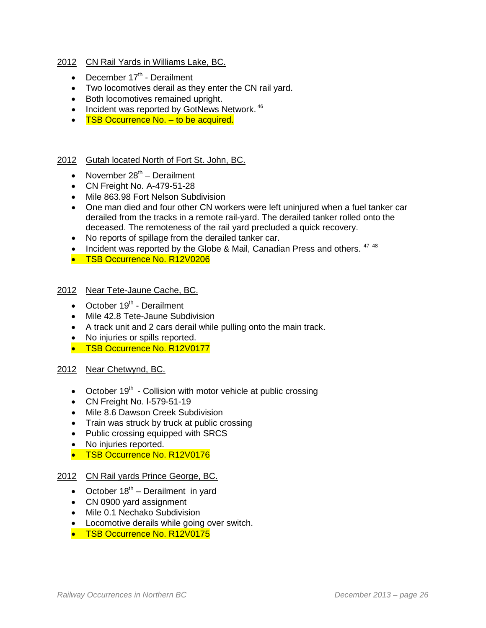- 2012 CN Rail Yards in Williams Lake, BC.
	- December  $17<sup>th</sup>$  Derailment
	- Two locomotives derail as they enter the CN rail yard.
	- Both locomotives remained upright.
	- Incident was reported by GotNews Network.<sup>[46](#page-50-2)</sup>
	- TSB Occurrence No. to be acquired.

## 2012 Gutah located North of Fort St. John, BC.

- November  $28<sup>th</sup>$  Derailment
- CN Freight No. A-479-51-28
- Mile 863.98 Fort Nelson Subdivision
- One man died and four other CN workers were left uninjured when a fuel tanker car derailed from the tracks in a remote rail-yard. The derailed tanker rolled onto the deceased. The remoteness of the rail yard precluded a quick recovery.
- No reports of spillage from the derailed tanker car.
- Incident was reported by the Globe & Mail, Canadian Press and others.  $4748$  $4748$
- TSB Occurrence No. R12V0206

## 2012 Near Tete-Jaune Cache, BC.

- $\bullet$  October 19<sup>th</sup> Derailment
- Mile 42.8 Tete-Jaune Subdivision
- A track unit and 2 cars derail while pulling onto the main track.
- No injuries or spills reported.
- TSB Occurrence No. R12V0177

## 2012 Near Chetwynd, BC.

- October  $19<sup>th</sup>$  Collision with motor vehicle at public crossing
- CN Freight No. l-579-51-19
- Mile 8.6 Dawson Creek Subdivision
- Train was struck by truck at public crossing
- Public crossing equipped with SRCS
- No injuries reported.
- TSB Occurrence No. R12V0176

## 2012 CN Rail yards Prince George, BC.

- October  $18<sup>th</sup>$  Derailment in yard
- CN 0900 yard assignment
- Mile 0.1 Nechako Subdivision
- Locomotive derails while going over switch.
- TSB Occurrence No. R12V0175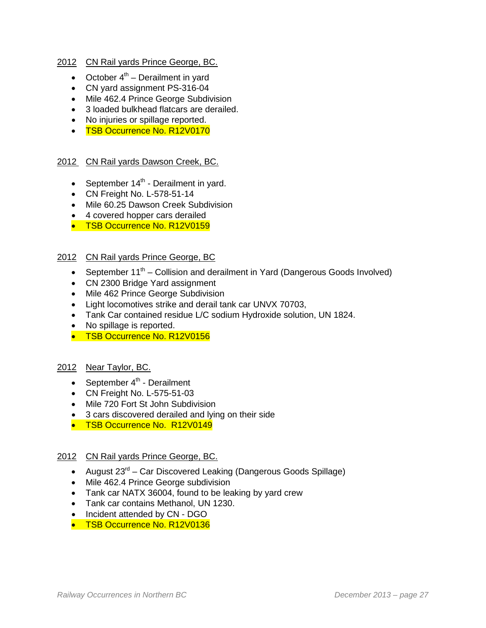## 2012 CN Rail yards Prince George, BC.

- October  $4<sup>th</sup>$  Derailment in yard
- CN yard assignment PS-316-04
- Mile 462.4 Prince George Subdivision
- 3 loaded bulkhead flatcars are derailed.
- No injuries or spillage reported.
- TSB Occurrence No. R12V0170

## 2012 CN Rail yards Dawson Creek, BC.

- September  $14<sup>th</sup>$  Derailment in yard.
- CN Freight No. L-578-51-14
- Mile 60.25 Dawson Creek Subdivision
- 4 covered hopper cars derailed
- TSB Occurrence No. R12V0159

## 2012 CN Rail yards Prince George, BC

- September  $11<sup>th</sup>$  Collision and derailment in Yard (Dangerous Goods Involved)
- CN 2300 Bridge Yard assignment
- Mile 462 Prince George Subdivision
- Light locomotives strike and derail tank car UNVX 70703,
- Tank Car contained residue L/C sodium Hydroxide solution, UN 1824.
- No spillage is reported.
- TSB Occurrence No. R12V0156

## 2012 Near Taylor, BC.

- September  $4<sup>th</sup>$  Derailment
- CN Freight No. L-575-51-03
- Mile 720 Fort St John Subdivision
- 3 cars discovered derailed and lying on their side
- TSB Occurrence No. R12V0149

## 2012 CN Rail yards Prince George, BC.

- August  $23^{rd}$  Car Discovered Leaking (Dangerous Goods Spillage)
- Mile 462.4 Prince George subdivision
- Tank car NATX 36004, found to be leaking by yard crew
- Tank car contains Methanol, UN 1230.
- Incident attended by CN DGO
- TSB Occurrence No. R12V0136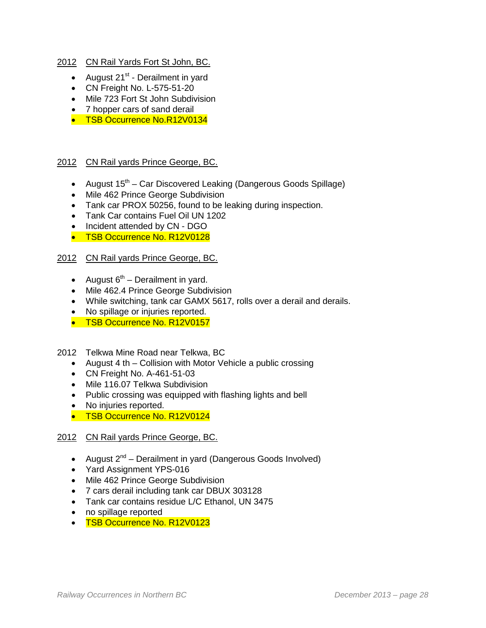## 2012 CN Rail Yards Fort St John, BC.

- August  $21^{st}$  Derailment in yard
- CN Freight No. L-575-51-20
- Mile 723 Fort St John Subdivision
- 7 hopper cars of sand derail
- TSB Occurrence No.R12V0134

## 2012 CN Rail yards Prince George, BC.

- August  $15<sup>th</sup>$  Car Discovered Leaking (Dangerous Goods Spillage)
- Mile 462 Prince George Subdivision
- Tank car PROX 50256, found to be leaking during inspection.
- Tank Car contains Fuel Oil UN 1202
- Incident attended by CN DGO
- TSB Occurrence No. R12V0128

## 2012 CN Rail yards Prince George, BC.

- August  $6^{th}$  Derailment in yard.
- Mile 462.4 Prince George Subdivision
- While switching, tank car GAMX 5617, rolls over a derail and derails.
- No spillage or injuries reported.
- TSB Occurrence No. R12V0157

## 2012 Telkwa Mine Road near Telkwa, BC

- August 4 th Collision with Motor Vehicle a public crossing
- CN Freight No. A-461-51-03
- Mile 116.07 Telkwa Subdivision
- Public crossing was equipped with flashing lights and bell
- No injuries reported.
- TSB Occurrence No. R12V0124

## 2012 CN Rail yards Prince George, BC.

- August  $2^{nd}$  Derailment in yard (Dangerous Goods Involved)
- Yard Assignment YPS-016
- Mile 462 Prince George Subdivision
- 7 cars derail including tank car DBUX 303128
- Tank car contains residue L/C Ethanol, UN 3475
- no spillage reported
- TSB Occurrence No. R12V0123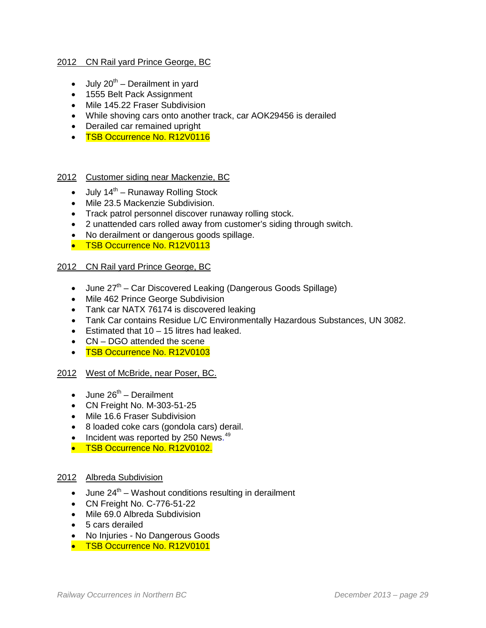## 2012 CN Rail yard Prince George, BC

- July  $20^{th}$  Derailment in yard
- 1555 Belt Pack Assignment
- Mile 145.22 Fraser Subdivision
- While shoving cars onto another track, car AOK29456 is derailed
- Derailed car remained upright
- TSB Occurrence No. R12V0116

#### 2012 Customer siding near Mackenzie, BC

- July  $14^{th}$  Runaway Rolling Stock
- Mile 23.5 Mackenzie Subdivision.
- Track patrol personnel discover runaway rolling stock.
- 2 unattended cars rolled away from customer's siding through switch.
- No derailment or dangerous goods spillage.
- TSB Occurrence No. R12V0113

## 2012 CN Rail yard Prince George, BC

- June  $27<sup>th</sup>$  Car Discovered Leaking (Dangerous Goods Spillage)
- Mile 462 Prince George Subdivision
- Tank car NATX 76174 is discovered leaking
- Tank Car contains Residue L/C Environmentally Hazardous Substances, UN 3082.
- Estimated that 10 15 litres had leaked.
- CN DGO attended the scene
- TSB Occurrence No. R12V0103

## 2012 West of McBride, near Poser, BC.

- $\bullet$  June 26<sup>th</sup> Derailment
- CN Freight No. M-303-51-25
- Mile 16.6 Fraser Subdivision
- 8 loaded coke cars (gondola cars) derail.
- Incident was reported by 250 News.<sup>[49](#page-50-5)</sup>
- TSB Occurrence No. R12V0102.

## 2012 Albreda Subdivision

- June  $24<sup>th</sup>$  Washout conditions resulting in derailment
- CN Freight No. C-776-51-22
- Mile 69.0 Albreda Subdivision
- 5 cars derailed
- No Injuries No Dangerous Goods
- TSB Occurrence No. R12V0101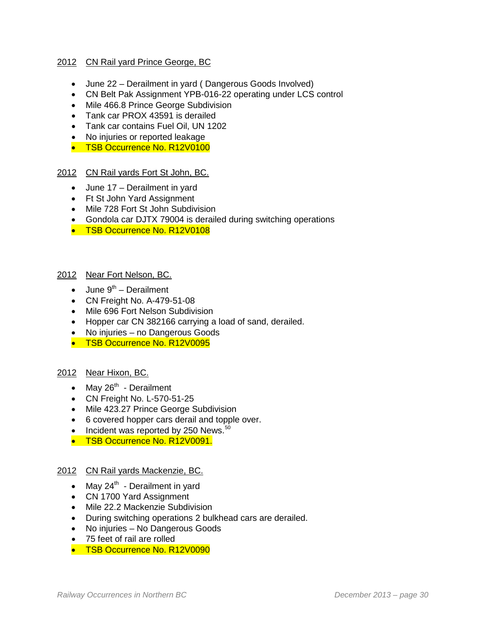## 2012 CN Rail yard Prince George, BC

- June 22 Derailment in yard ( Dangerous Goods Involved)
- CN Belt Pak Assignment YPB-016-22 operating under LCS control
- Mile 466.8 Prince George Subdivision
- Tank car PROX 43591 is derailed
- Tank car contains Fuel Oil, UN 1202
- No injuries or reported leakage
- TSB Occurrence No. R12V0100

#### 2012 CN Rail yards Fort St John, BC.

- June 17 Derailment in yard
- Ft St John Yard Assignment
- Mile 728 Fort St John Subdivision
- Gondola car DJTX 79004 is derailed during switching operations
- TSB Occurrence No. R12V0108

#### 2012 Near Fort Nelson, BC.

- June  $9^{th}$  Derailment
- CN Freight No. A-479-51-08
- Mile 696 Fort Nelson Subdivision
- Hopper car CN 382166 carrying a load of sand, derailed.
- No injuries no Dangerous Goods
- TSB Occurrence No. R12V0095

## 2012 Near Hixon, BC.

- May  $26<sup>th</sup>$  Derailment
- CN Freight No. L-570-51-25
- Mile 423.27 Prince George Subdivision
- 6 covered hopper cars derail and topple over.
- Incident was reported by 2[50](#page-50-6) News.<sup>50</sup>
- **TSB Occurrence No. R12V0091.**

#### 2012 CN Rail yards Mackenzie, BC.

- May  $24^{th}$  Derailment in yard
- CN 1700 Yard Assignment
- Mile 22.2 Mackenzie Subdivision
- During switching operations 2 bulkhead cars are derailed.
- No injuries No Dangerous Goods
- 75 feet of rail are rolled
- TSB Occurrence No. R12V0090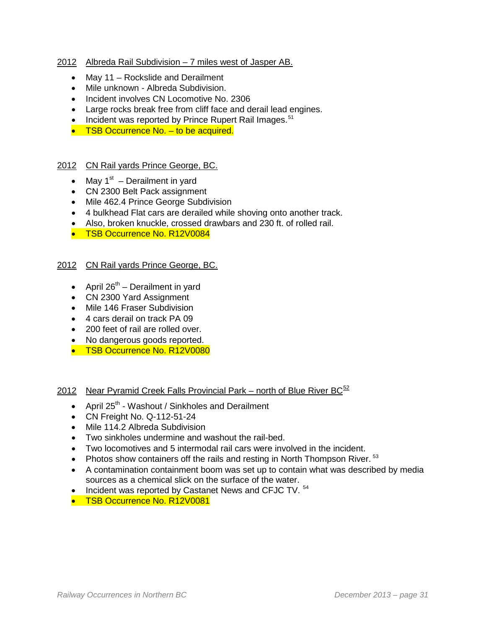## 2012 Albreda Rail Subdivision – 7 miles west of Jasper AB.

- May 11 Rockslide and Derailment
- Mile unknown Albreda Subdivision.
- Incident involves CN Locomotive No. 2306
- Large rocks break free from cliff face and derail lead engines.
- Incident was reported by Prince Rupert Rail Images.<sup>[51](#page-50-7)</sup>
- TSB Occurrence No. to be acquired.

## 2012 CN Rail yards Prince George, BC.

- May  $1<sup>st</sup>$  Derailment in yard
- CN 2300 Belt Pack assignment
- Mile 462.4 Prince George Subdivision
- 4 bulkhead Flat cars are derailed while shoving onto another track.
- Also, broken knuckle, crossed drawbars and 230 ft. of rolled rail.
- TSB Occurrence No. R12V0084

## 2012 CN Rail yards Prince George, BC.

- April  $26^{th}$  Derailment in yard
- CN 2300 Yard Assignment
- Mile 146 Fraser Subdivision
- 4 cars derail on track PA 09
- 200 feet of rail are rolled over.
- No dangerous goods reported.
- TSB Occurrence No. R12V0080

## 2012 Near Pyramid Creek Falls Provincial Park – north of Blue River  $BC^{52}$  $BC^{52}$  $BC^{52}$

- April  $25<sup>th</sup>$  Washout / Sinkholes and Derailment
- CN Freight No. Q-112-51-24
- Mile 114.2 Albreda Subdivision
- Two sinkholes undermine and washout the rail-bed.
- Two locomotives and 5 intermodal rail cars were involved in the incident.
- Photos show containers off the rails and resting in North Thompson River.  $53$
- A contamination containment boom was set up to contain what was described by media sources as a chemical slick on the surface of the water.
- Incident was reported by Castanet News and CFJC TV.  $54$
- TSB Occurrence No. R12V0081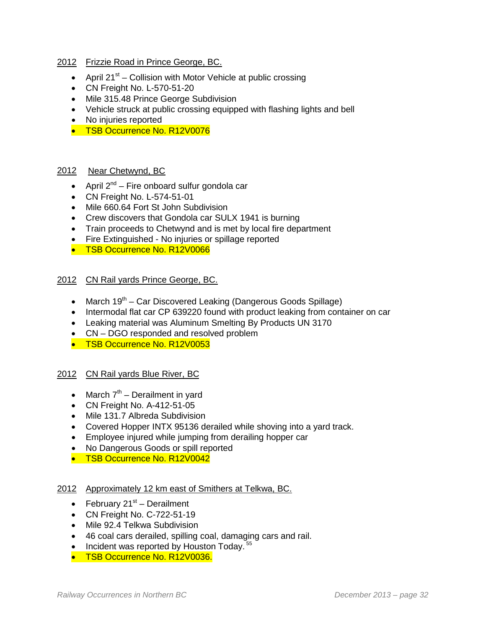#### 2012 Frizzie Road in Prince George, BC.

- April  $21^{st}$  Collision with Motor Vehicle at public crossing
- CN Freight No. L-570-51-20
- Mile 315.48 Prince George Subdivision
- Vehicle struck at public crossing equipped with flashing lights and bell
- No injuries reported
- TSB Occurrence No. R12V0076

#### 2012 Near Chetwynd, BC

- April  $2^{nd}$  Fire onboard sulfur gondola car
- CN Freight No. L-574-51-01
- Mile 660.64 Fort St John Subdivision
- Crew discovers that Gondola car SULX 1941 is burning
- Train proceeds to Chetwynd and is met by local fire department
- Fire Extinguished No injuries or spillage reported
- TSB Occurrence No. R12V0066

#### 2012 CN Rail yards Prince George, BC.

- March  $19^{th}$  Car Discovered Leaking (Dangerous Goods Spillage)
- Intermodal flat car CP 639220 found with product leaking from container on car
- Leaking material was Aluminum Smelting By Products UN 3170
- CN DGO responded and resolved problem
- TSB Occurrence No. R12V0053

#### 2012 CN Rail yards Blue River, BC

- March  $7<sup>th</sup>$  Derailment in yard
- CN Freight No. A-412-51-05
- Mile 131.7 Albreda Subdivision
- Covered Hopper INTX 95136 derailed while shoving into a yard track.
- Employee injured while jumping from derailing hopper car
- No Dangerous Goods or spill reported
- TSB Occurrence No. R12V0042

#### 2012 Approximately 12 km east of Smithers at Telkwa, BC.

- February  $21^{st}$  Derailment
- CN Freight No. C-722-51-19
- Mile 92.4 Telkwa Subdivision
- 46 coal cars derailed, spilling coal, damaging cars and rail.
- Incident was reported by Houston Today.<sup>[55](#page-50-11)</sup>
- TSB Occurrence No. R12V0036.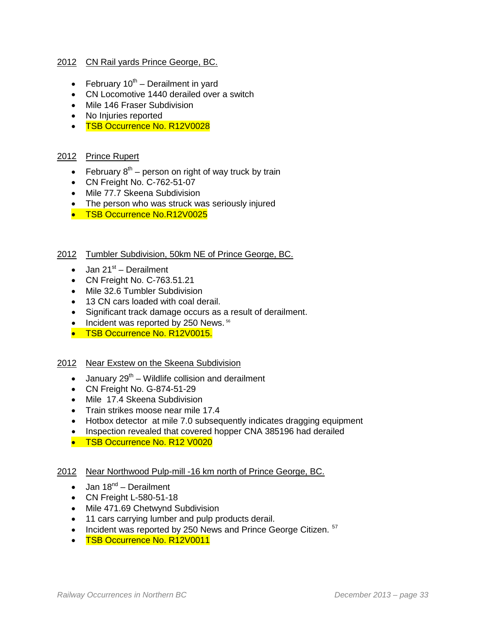## 2012 CN Rail yards Prince George, BC.

- February  $10^{th}$  Derailment in yard
- CN Locomotive 1440 derailed over a switch
- Mile 146 Fraser Subdivision
- No Injuries reported
- TSB Occurrence No. R12V0028

## 2012 Prince Rupert

- February  $8<sup>th</sup>$  person on right of way truck by train
- CN Freight No. C-762-51-07
- Mile 77.7 Skeena Subdivision
- The person who was struck was seriously injured
- TSB Occurrence No.R12V0025

#### 2012 Tumbler Subdivision, 50km NE of Prince George, BC.

- Jan  $21^{st}$  Derailment
- CN Freight No. C-763.51.21
- Mile 32.6 Tumbler Subdivision
- 13 CN cars loaded with coal derail.
- Significant track damage occurs as a result of derailment.
- Incident was reported by 250 News. [56](#page-50-12)
- TSB Occurrence No. R12V0015.

#### 2012 Near Exstew on the Skeena Subdivision

- January  $29^{th}$  Wildlife collision and derailment
- CN Freight No. G-874-51-29
- Mile 17.4 Skeena Subdivision
- Train strikes moose near mile 17.4
- Hotbox detector at mile 7.0 subsequently indicates dragging equipment
- Inspection revealed that covered hopper CNA 385196 had derailed
- TSB Occurrence No. R12 V0020

#### 2012 Near Northwood Pulp-mill -16 km north of Prince George, BC.

- Jan  $18^{nd}$  Derailment
- CN Freight L-580-51-18
- Mile 471.69 Chetwynd Subdivision
- 11 cars carrying lumber and pulp products derail.
- Incident was reported by 250 News and Prince George Citizen. <sup>[57](#page-50-13)</sup>
- TSB Occurrence No. R12V0011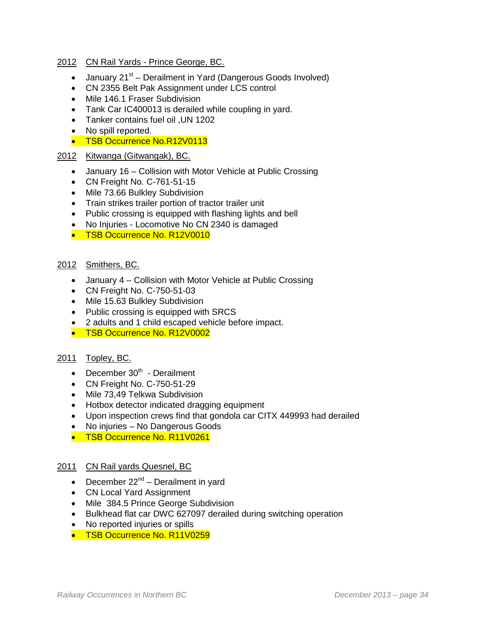## 2012 CN Rail Yards - Prince George, BC.

- January  $21^{st}$  Derailment in Yard (Dangerous Goods Involved)
- CN 2355 Belt Pak Assignment under LCS control
- Mile 146.1 Fraser Subdivision
- Tank Car IC400013 is derailed while coupling in yard.
- Tanker contains fuel oil ,UN 1202
- No spill reported.
- TSB Occurrence No.R12V0113

## 2012 Kitwanga (Gitwangak), BC.

- January 16 Collision with Motor Vehicle at Public Crossing
- CN Freight No. C-761-51-15
- Mile 73.66 Bulkley Subdivision
- Train strikes trailer portion of tractor trailer unit
- Public crossing is equipped with flashing lights and bell
- No Injuries Locomotive No CN 2340 is damaged
- TSB Occurrence No. R12V0010

## 2012 Smithers, BC.

- January 4 Collision with Motor Vehicle at Public Crossing
- CN Freight No. C-750-51-03
- Mile 15.63 Bulkley Subdivision
- Public crossing is equipped with SRCS
- 2 adults and 1 child escaped vehicle before impact.
- TSB Occurrence No. R12V0002

## 2011 Topley, BC.

- December  $30<sup>th</sup>$  Derailment
- CN Freight No. C-750-51-29
- Mile 73,49 Telkwa Subdivision
- Hotbox detector indicated dragging equipment
- Upon inspection crews find that gondola car CITX 449993 had derailed
- No injuries No Dangerous Goods
- TSB Occurrence No. R11V0261

## 2011 CN Rail yards Quesnel, BC

- December  $22^{nd}$  Derailment in yard
- CN Local Yard Assignment
- Mile 384.5 Prince George Subdivision
- Bulkhead flat car DWC 627097 derailed during switching operation
- No reported injuries or spills
- TSB Occurrence No. R11V0259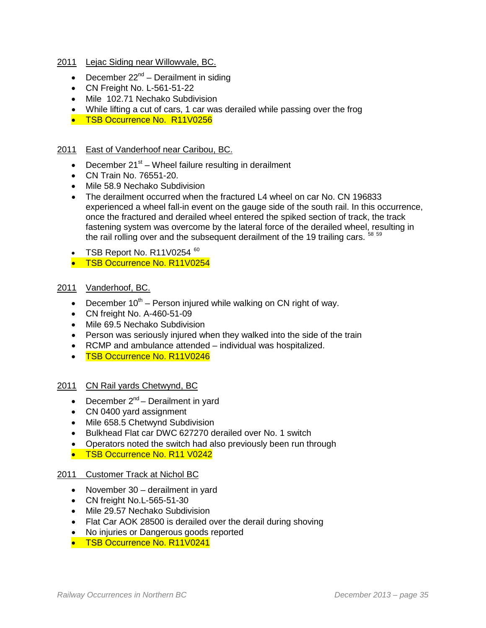- 2011 Lejac Siding near Willowvale, BC.
	- December  $22^{nd}$  Derailment in siding
	- CN Freight No. L-561-51-22
	- Mile 102.71 Nechako Subdivision
	- While lifting a cut of cars, 1 car was derailed while passing over the frog
	- TSB Occurrence No. R11V0256

## 2011 East of Vanderhoof near Caribou, BC.

- December  $21^{st}$  Wheel failure resulting in derailment
- CN Train No. 76551-20.
- Mile 58.9 Nechako Subdivision
- The derailment occurred when the fractured L4 wheel on car No. CN 196833 experienced a wheel fall-in event on the gauge side of the south rail. In this occurrence, once the fractured and derailed wheel entered the spiked section of track, the track fastening system was overcome by the lateral force of the derailed wheel, resulting in the rail rolling over and the subsequent derailment of the 19 trailing cars. <sup>[58](#page-50-14) [59](#page-50-15)</sup>
- TSB Report No. R11V0254  $60$
- TSB Occurrence No. R11V0254

## 2011 Vanderhoof, BC.

- December  $10^{th}$  Person injured while walking on CN right of way.
- CN freight No. A-460-51-09
- Mile 69.5 Nechako Subdivision
- Person was seriously injured when they walked into the side of the train
- RCMP and ambulance attended individual was hospitalized.
- TSB Occurrence No. R11V0246

#### 2011 CN Rail yards Chetwynd, BC

- December  $2^{nd}$  Derailment in yard
- CN 0400 yard assignment
- Mile 658.5 Chetwynd Subdivision
- Bulkhead Flat car DWC 627270 derailed over No. 1 switch
- Operators noted the switch had also previously been run through
- TSB Occurrence No. R11 V0242

#### 2011 Customer Track at Nichol BC

- November 30 derailment in yard
- CN freight No.L-565-51-30
- Mile 29.57 Nechako Subdivision
- Flat Car AOK 28500 is derailed over the derail during shoving
- No injuries or Dangerous goods reported
- TSB Occurrence No. R11V0241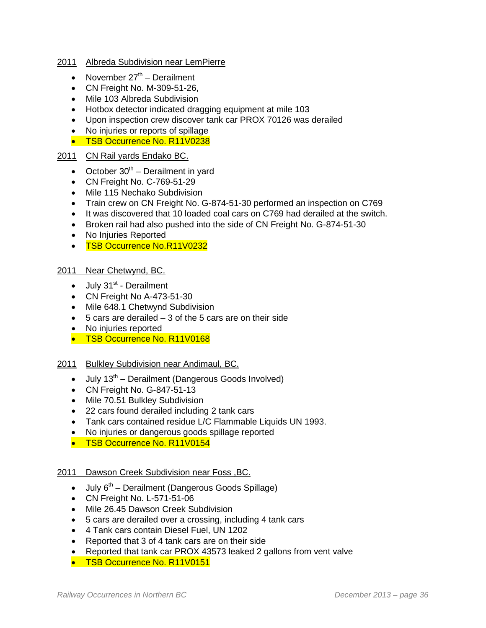#### 2011 Albreda Subdivision near LemPierre

- November  $27<sup>th</sup>$  Derailment
- CN Freight No. M-309-51-26,
- Mile 103 Albreda Subdivision
- Hotbox detector indicated dragging equipment at mile 103
- Upon inspection crew discover tank car PROX 70126 was derailed
- No injuries or reports of spillage
- TSB Occurrence No. R11V0238

## 2011 CN Rail yards Endako BC.

- October  $30<sup>th</sup>$  Derailment in yard
- CN Freight No. C-769-51-29
- Mile 115 Nechako Subdivision
- Train crew on CN Freight No. G-874-51-30 performed an inspection on C769
- It was discovered that 10 loaded coal cars on C769 had derailed at the switch.
- Broken rail had also pushed into the side of CN Freight No. G-874-51-30
- No Injuries Reported
- TSB Occurrence No.R11V0232

#### 2011 Near Chetwynd, BC.

- $\bullet$  July 31<sup>st</sup> Derailment
- CN Freight No A-473-51-30
- Mile 648.1 Chetwynd Subdivision
- $\bullet$  5 cars are derailed  $-3$  of the 5 cars are on their side
- No injuries reported
- TSB Occurrence No. R11V0168

## 2011 Bulkley Subdivision near Andimaul, BC.

- July  $13<sup>th</sup>$  Derailment (Dangerous Goods Involved)
- CN Freight No. G-847-51-13
- Mile 70.51 Bulkley Subdivision
- 22 cars found derailed including 2 tank cars
- Tank cars contained residue L/C Flammable Liquids UN 1993.
- No injuries or dangerous goods spillage reported
- TSB Occurrence No. R11V0154

## 2011 Dawson Creek Subdivision near Foss ,BC.

- July  $6<sup>th</sup>$  Derailment (Dangerous Goods Spillage)
- CN Freight No. L-571-51-06
- Mile 26.45 Dawson Creek Subdivision
- 5 cars are derailed over a crossing, including 4 tank cars
- 4 Tank cars contain Diesel Fuel, UN 1202
- Reported that 3 of 4 tank cars are on their side
- Reported that tank car PROX 43573 leaked 2 gallons from vent valve
- TSB Occurrence No. R11V0151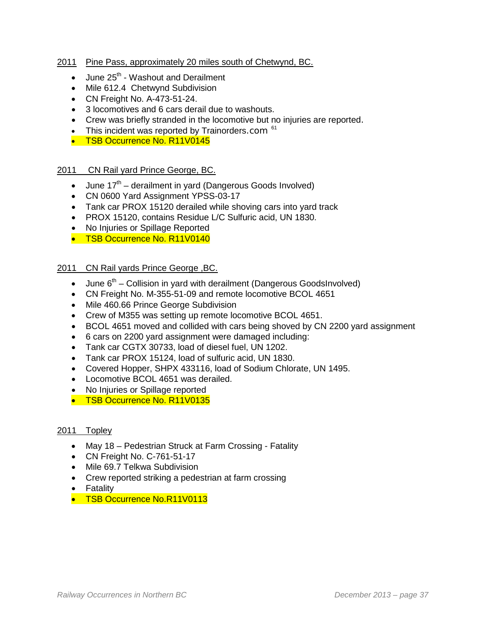## 2011 Pine Pass, approximately 20 miles south of Chetwynd, BC.

- $\bullet$  June 25<sup>th</sup> Washout and Derailment
- Mile 612.4 Chetwynd Subdivision
- CN Freight No. A-473-51-24.
- 3 locomotives and 6 cars derail due to washouts.
- Crew was briefly stranded in the locomotive but no injuries are reported.
- This incident was reported by Trainorders.com  $61$
- TSB Occurrence No. R11V0145

## 2011 CN Rail yard Prince George, BC.

- June  $17<sup>th</sup>$  derailment in yard (Dangerous Goods Involved)
- CN 0600 Yard Assignment YPSS-03-17
- Tank car PROX 15120 derailed while shoving cars into yard track
- PROX 15120, contains Residue L/C Sulfuric acid, UN 1830.
- No Injuries or Spillage Reported
- TSB Occurrence No. R11V0140

## 2011 CN Rail yards Prince George ,BC.

- June  $6<sup>th</sup>$  Collision in yard with derailment (Dangerous GoodsInvolved)
- CN Freight No. M-355-51-09 and remote locomotive BCOL 4651
- Mile 460.66 Prince George Subdivision
- Crew of M355 was setting up remote locomotive BCOL 4651.
- BCOL 4651 moved and collided with cars being shoved by CN 2200 yard assignment
- 6 cars on 2200 yard assignment were damaged including:
- Tank car CGTX 30733, load of diesel fuel, UN 1202.
- Tank car PROX 15124, load of sulfuric acid, UN 1830.
- Covered Hopper, SHPX 433116, load of Sodium Chlorate, UN 1495.
- Locomotive BCOL 4651 was derailed.
- No Injuries or Spillage reported
- TSB Occurrence No. R11V0135

#### 2011 Topley

- May 18 Pedestrian Struck at Farm Crossing Fatality
- CN Freight No. C-761-51-17
- Mile 69.7 Telkwa Subdivision
- Crew reported striking a pedestrian at farm crossing
- Fatality
- TSB Occurrence No.R11V0113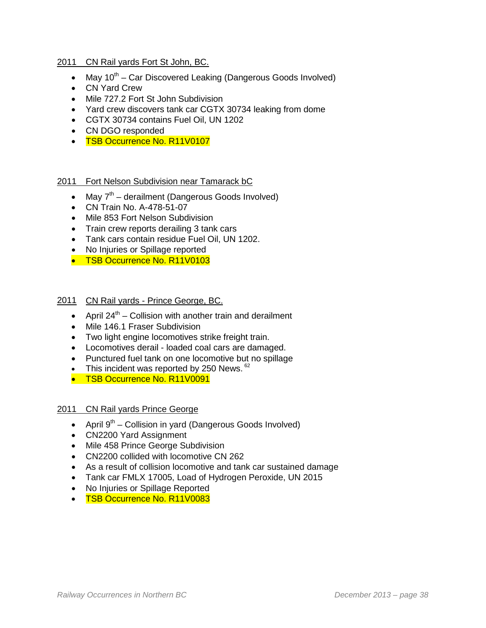#### 2011 CN Rail yards Fort St John, BC.

- Mav  $10^{th}$  Car Discovered Leaking (Dangerous Goods Involved)
- CN Yard Crew
- Mile 727.2 Fort St John Subdivision
- Yard crew discovers tank car CGTX 30734 leaking from dome
- CGTX 30734 contains Fuel Oil, UN 1202
- CN DGO responded
- TSB Occurrence No. R11V0107

#### 2011 Fort Nelson Subdivision near Tamarack bC

- May  $7<sup>th</sup>$  derailment (Dangerous Goods Involved)
- CN Train No. A-478-51-07
- Mile 853 Fort Nelson Subdivision
- Train crew reports derailing 3 tank cars
- Tank cars contain residue Fuel Oil, UN 1202.
- No Injuries or Spillage reported
- TSB Occurrence No. R11V0103

## 2011 CN Rail yards - Prince George, BC.

- April  $24^{th}$  Collision with another train and derailment
- Mile 146.1 Fraser Subdivision
- Two light engine locomotives strike freight train.
- Locomotives derail loaded coal cars are damaged.
- Punctured fuel tank on one locomotive but no spillage
- This incident was reported by 250 News.  $62$
- TSB Occurrence No. R11V0091

#### 2011 CN Rail yards Prince George

- April  $9^{th}$  Collision in yard (Dangerous Goods Involved)
- CN2200 Yard Assignment
- Mile 458 Prince George Subdivision
- CN2200 collided with locomotive CN 262
- As a result of collision locomotive and tank car sustained damage
- Tank car FMLX 17005, Load of Hydrogen Peroxide, UN 2015
- No Injuries or Spillage Reported
- TSB Occurrence No. R11V0083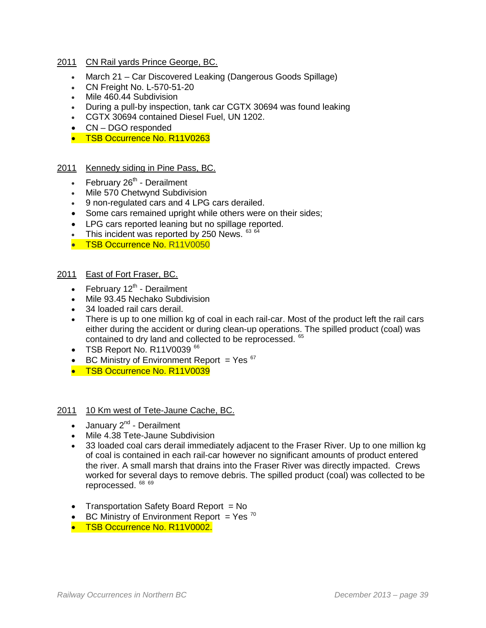#### 2011 CN Rail yards Prince George, BC.

- March 21 Car Discovered Leaking (Dangerous Goods Spillage)
- CN Freight No. L-570-51-20
- Mile 460.44 Subdivision
- During a pull-by inspection, tank car CGTX 30694 was found leaking
- CGTX 30694 contained Diesel Fuel, UN 1202.
- CN DGO responded
- TSB Occurrence No. R11V0263

## 2011 Kennedy siding in Pine Pass, BC.

- February  $26<sup>th</sup>$  Derailment
- Mile 570 Chetwynd Subdivision
- 9 non-regulated cars and 4 LPG cars derailed.
- Some cars remained upright while others were on their sides;
- LPG cars reported leaning but no spillage reported.
- This incident was reported by 250 News. [63](#page-50-19) [64](#page-50-20)
- TSB Occurrence No. R11V0050

#### 2011 East of Fort Fraser, BC.

- February  $12<sup>th</sup>$  Derailment
- Mile 93.45 Nechako Subdivision
- 34 loaded rail cars derail.
- There is up to one million kg of coal in each rail-car. Most of the product left the rail cars either during the accident or during clean-up operations. The spilled product (coal) was contained to dry land and collected to be reprocessed. <sup>[65](#page-50-21)</sup>
- TSB Report No. R11V0039<sup>[66](#page-50-22)</sup>
- BC Ministry of Environment Report  $=$  Yes  $67$
- TSB Occurrence No. R11V0039

#### 2011 10 Km west of Tete-Jaune Cache, BC.

- January  $2^{nd}$  Derailment
- Mile 4.38 Tete-Jaune Subdivision
- 33 loaded coal cars derail immediately adjacent to the Fraser River. Up to one million kg of coal is contained in each rail-car however no significant amounts of product entered the river. A small marsh that drains into the Fraser River was directly impacted. Crews worked for several days to remove debris. The spilled product (coal) was collected to be reprocessed. [68](#page-50-24) [69](#page-50-25)
- Transportation Safety Board Report = No
- BC Ministry of Environment Report = Yes  $70$
- TSB Occurrence No. R11V0002.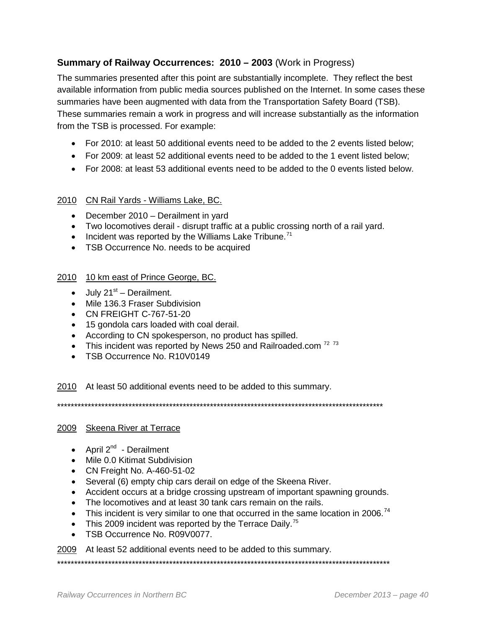# **Summary of Railway Occurrences: 2010 – 2003** (Work in Progress)

The summaries presented after this point are substantially incomplete. They reflect the best available information from public media sources published on the Internet. In some cases these summaries have been augmented with data from the Transportation Safety Board (TSB). These summaries remain a work in progress and will increase substantially as the information from the TSB is processed. For example:

- For 2010: at least 50 additional events need to be added to the 2 events listed below;
- For 2009: at least 52 additional events need to be added to the 1 event listed below;
- For 2008: at least 53 additional events need to be added to the 0 events listed below.

## 2010 CN Rail Yards - Williams Lake, BC.

- December 2010 Derailment in yard
- Two locomotives derail disrupt traffic at a public crossing north of a rail yard.
- Incident was reported by the Williams Lake Tribune.<sup>[71](#page-50-27)</sup>
- TSB Occurrence No. needs to be acquired

## 2010 10 km east of Prince George, BC.

- $\bullet$  July 21<sup>st</sup> Derailment.
- Mile 136.3 Fraser Subdivision
- CN FREIGHT C-767-51-20
- 15 gondola cars loaded with coal derail.
- According to CN spokesperson, no product has spilled.
- This incident was reported by News 250 and Railroaded.com<sup>[72](#page-50-28) [73](#page-50-29)</sup>
- TSB Occurrence No. R10V0149

2010 At least 50 additional events need to be added to this summary.

\*\*\*\*\*\*\*\*\*\*\*\*\*\*\*\*\*\*\*\*\*\*\*\*\*\*\*\*\*\*\*\*\*\*\*\*\*\*\*\*\*\*\*\*\*\*\*\*\*\*\*\*\*\*\*\*\*\*\*\*\*\*\*\*\*\*\*\*\*\*\*\*\*\*\*\*\*\*\*\*\*\*\*\*\*\*\*\*\*\*\*\*\*\*\*\*

# 2009 Skeena River at Terrace

- April  $2^{nd}$  Derailment
- Mile 0.0 Kitimat Subdivision
- CN Freight No. A-460-51-02
- Several (6) empty chip cars derail on edge of the Skeena River.
- Accident occurs at a bridge crossing upstream of important spawning grounds.
- The locomotives and at least 30 tank cars remain on the rails.
- This incident is very similar to one that occurred in the same location in 2006.<sup>[74](#page-50-30)</sup>
- This 2009 incident was reported by the Terrace Daily.<sup>[75](#page-50-31)</sup>
- TSB Occurrence No. R09V0077.

2009 At least 52 additional events need to be added to this summary.

\*\*\*\*\*\*\*\*\*\*\*\*\*\*\*\*\*\*\*\*\*\*\*\*\*\*\*\*\*\*\*\*\*\*\*\*\*\*\*\*\*\*\*\*\*\*\*\*\*\*\*\*\*\*\*\*\*\*\*\*\*\*\*\*\*\*\*\*\*\*\*\*\*\*\*\*\*\*\*\*\*\*\*\*\*\*\*\*\*\*\*\*\*\*\*\*\*\*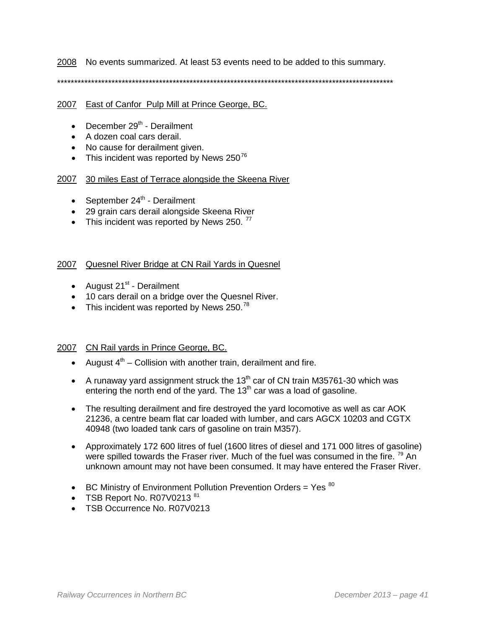2008 No events summarized. At least 53 events need to be added to this summary.

\*\*\*\*\*\*\*\*\*\*\*\*\*\*\*\*\*\*\*\*\*\*\*\*\*\*\*\*\*\*\*\*\*\*\*\*\*\*\*\*\*\*\*\*\*\*\*\*\*\*\*\*\*\*\*\*\*\*\*\*\*\*\*\*\*\*\*\*\*\*\*\*\*\*\*\*\*\*\*\*\*\*\*\*\*\*\*\*\*\*\*\*\*\*\*\*\*\*\*

#### 2007 East of Canfor Pulp Mill at Prince George, BC.

- December  $29<sup>th</sup>$  Derailment
- A dozen coal cars derail.
- No cause for derailment given.
- This incident was reported by News  $250^{76}$  $250^{76}$  $250^{76}$

#### 2007 30 miles East of Terrace alongside the Skeena River

- September  $24<sup>th</sup>$  Derailment
- 29 grain cars derail alongside Skeena River
- This incident was reported by News 250.  $77$

#### 2007 Quesnel River Bridge at CN Rail Yards in Quesnel

- August  $21^{st}$  Derailment
- 10 cars derail on a bridge over the Quesnel River.
- This incident was reported by News  $250.^{78}$  $250.^{78}$  $250.^{78}$

#### 2007 CN Rail yards in Prince George, BC.

- August  $4<sup>th</sup>$  Collision with another train, derailment and fire.
- A runaway yard assignment struck the 13<sup>th</sup> car of CN train M35761-30 which was entering the north end of the yard. The  $13<sup>th</sup>$  car was a load of gasoline.
- The resulting derailment and fire destroyed the yard locomotive as well as car AOK 21236, a centre beam flat car loaded with lumber, and cars AGCX 10203 and CGTX 40948 (two loaded tank cars of gasoline on train M357).
- Approximately 172 600 litres of fuel (1600 litres of diesel and 171 000 litres of gasoline) were spilled towards the Fraser river. Much of the fuel was consumed in the fire. <sup>[79](#page-50-34)</sup> An unknown amount may not have been consumed. It may have entered the Fraser River.
- BC Ministry of Environment Pollution Prevention Orders = Yes  $80$
- TSB Report No. R07V0213 $81$
- TSB Occurrence No. R07V0213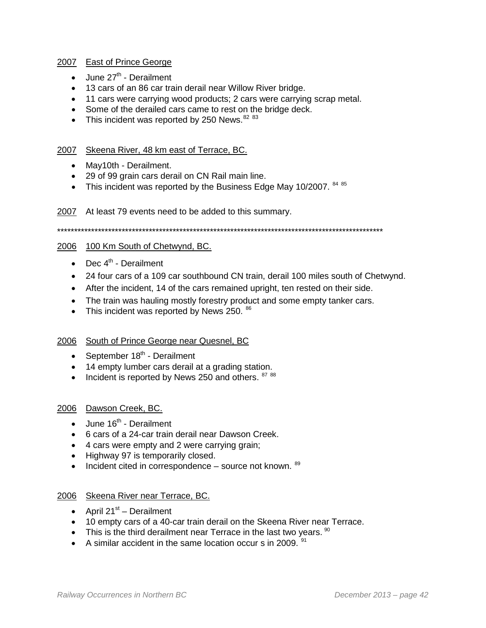#### 2007 East of Prince George

- June  $27<sup>th</sup>$  Derailment
- 13 cars of an 86 car train derail near Willow River bridge.
- 11 cars were carrying wood products; 2 cars were carrying scrap metal.
- Some of the derailed cars came to rest on the bridge deck.
- This incident was reported by 250 News.  $8283$  $8283$

## 2007 Skeena River, 48 km east of Terrace, BC.

- May10th Derailment.
- 29 of 99 grain cars derail on CN Rail main line.
- This incident was reported by the Business Edge May 10/2007.  $8485$  $8485$

2007 At least 79 events need to be added to this summary.

```
************************************************************************************************
```
## 2006 100 Km South of Chetwynd, BC.

- Dec  $4^{\text{th}}$  Derailment
- 24 four cars of a 109 car southbound CN train, derail 100 miles south of Chetwynd.
- After the incident, 14 of the cars remained upright, ten rested on their side.
- The train was hauling mostly forestry product and some empty tanker cars.
- This incident was reported by News 250.  $86$

## 2006 South of Prince George near Quesnel, BC

- September  $18<sup>th</sup>$  Derailment
- 14 empty lumber cars derail at a grading station.
- Incident is reported by News 250 and others.  $8788$  $8788$

## 2006 Dawson Creek, BC.

- $\bullet$  June 16<sup>th</sup> Derailment
- 6 cars of a 24-car train derail near Dawson Creek.
- 4 cars were empty and 2 were carrying grain;
- Highway 97 is temporarily closed.
- Incident cited in correspondence  $-$  source not known.  $89$

## 2006 Skeena River near Terrace, BC.

- April  $21^{st}$  Derailment
- 10 empty cars of a 40-car train derail on the Skeena River near Terrace.
- This is the third derailment near Terrace in the last two years.  $90$
- A similar accident in the same location occur s in 2009.  $91$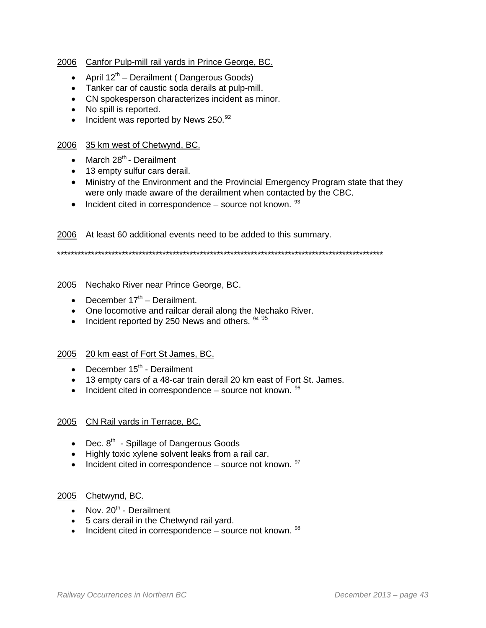## 2006 Canfor Pulp-mill rail yards in Prince George, BC.

- April  $12^{th}$  Derailment (Dangerous Goods)
- Tanker car of caustic soda derails at pulp-mill.
- CN spokesperson characterizes incident as minor.
- No spill is reported.
- Incident was reported by News 250.<sup>[92](#page-50-47)</sup>

## 2006 35 km west of Chetwynd, BC.

- March  $28^{th}$  Derailment
- 13 empty sulfur cars derail.
- Ministry of the Environment and the Provincial Emergency Program state that they were only made aware of the derailment when contacted by the CBC.
- Incident cited in correspondence source not known.  $93$

2006 At least 60 additional events need to be added to this summary.

\*\*\*\*\*\*\*\*\*\*\*\*\*\*\*\*\*\*\*\*\*\*\*\*\*\*\*\*\*\*\*\*\*\*\*\*\*\*\*\*\*\*\*\*\*\*\*\*\*\*\*\*\*\*\*\*\*\*\*\*\*\*\*\*\*\*\*\*\*\*\*\*\*\*\*\*\*\*\*\*\*\*\*\*\*\*\*\*\*\*\*\*\*\*\*\*

#### 2005 Nechako River near Prince George, BC.

- December  $17<sup>th</sup>$  Derailment.
- One locomotive and railcar derail along the Nechako River.
- Incident reported by 250 News and others.  $9495$  $9495$

#### 2005 20 km east of Fort St James, BC.

- December  $15<sup>th</sup>$  Derailment
- 13 empty cars of a 48-car train derail 20 km east of Fort St. James.
- Incident cited in correspondence source not known.  $96$

## 2005 CN Rail yards in Terrace, BC.

- Dec.  $8<sup>th</sup>$  Spillage of Dangerous Goods
- Highly toxic xylene solvent leaks from a rail car.
- Incident cited in correspondence source not known.  $97$

#### 2005 Chetwynd, BC.

- Nov.  $20^{th}$  Derailment
- 5 cars derail in the Chetwynd rail yard.
- Incident cited in correspondence  $-$  source not known.  $98$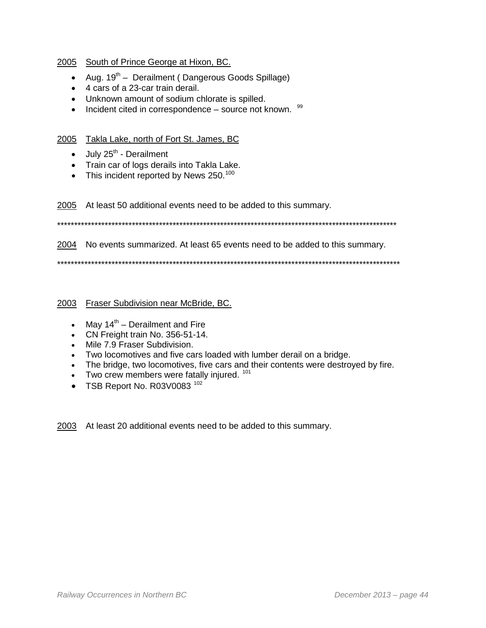## 2005 South of Prince George at Hixon, BC.

- Aug.  $19^{th}$  Derailment (Dangerous Goods Spillage)
- 4 cars of a 23-car train derail.
- Unknown amount of sodium chlorate is spilled.
- $\bullet$  Incident cited in correspondence source not known.  $99$

## 2005 Takla Lake, north of Fort St. James, BC

- $\bullet$  July 25<sup>th</sup> Derailment
- Train car of logs derails into Takla Lake.
- This incident reported by News 250. $^{100}$  $^{100}$  $^{100}$

2005 At least 50 additional events need to be added to this summary.

\*\*\*\*\*\*\*\*\*\*\*\*\*\*\*\*\*\*\*\*\*\*\*\*\*\*\*\*\*\*\*\*\*\*\*\*\*\*\*\*\*\*\*\*\*\*\*\*\*\*\*\*\*\*\*\*\*\*\*\*\*\*\*\*\*\*\*\*\*\*\*\*\*\*\*\*\*\*\*\*\*\*\*\*\*\*\*\*\*\*\*\*\*\*\*\*\*\*\*\*

#### 2004 No events summarized. At least 65 events need to be added to this summary.

\*\*\*\*\*\*\*\*\*\*\*\*\*\*\*\*\*\*\*\*\*\*\*\*\*\*\*\*\*\*\*\*\*\*\*\*\*\*\*\*\*\*\*\*\*\*\*\*\*\*\*\*\*\*\*\*\*\*\*\*\*\*\*\*\*\*\*\*\*\*\*\*\*\*\*\*\*\*\*\*\*\*\*\*\*\*\*\*\*\*\*\*\*\*\*\*\*\*\*\*\*

#### 2003 Fraser Subdivision near McBride, BC.

- May  $14<sup>th</sup>$  Derailment and Fire
- CN Freight train No. 356-51-14.
- Mile 7.9 Fraser Subdivision.
- Two locomotives and five cars loaded with lumber derail on a bridge.
- The bridge, two locomotives, five cars and their contents were destroyed by fire.
- $\bullet$  Two crew members were fatally injured.  $101$
- TSB Report No. R03V0083<sup>[102](#page-50-57)</sup>

2003 At least 20 additional events need to be added to this summary.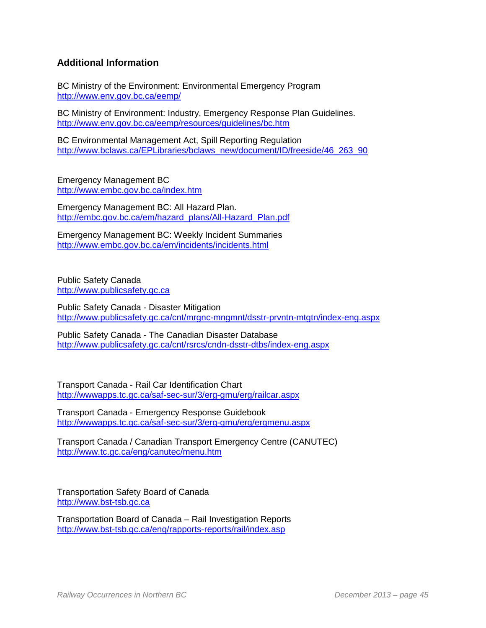# **Additional Information**

BC Ministry of the Environment: Environmental Emergency Program <http://www.env.gov.bc.ca/eemp/>

BC Ministry of Environment: Industry, Emergency Response Plan Guidelines. <http://www.env.gov.bc.ca/eemp/resources/guidelines/bc.htm>

BC Environmental Management Act, Spill Reporting Regulation [http://www.bclaws.ca/EPLibraries/bclaws\\_new/document/ID/freeside/46\\_263\\_90](http://www.bclaws.ca/EPLibraries/bclaws_new/document/ID/freeside/46_263_90)

Emergency Management BC <http://www.embc.gov.bc.ca/index.htm>

Emergency Management BC: All Hazard Plan. [http://embc.gov.bc.ca/em/hazard\\_plans/All-Hazard\\_Plan.pdf](http://embc.gov.bc.ca/em/hazard_plans/All-Hazard_Plan.pdf)

Emergency Management BC: Weekly Incident Summaries <http://www.embc.gov.bc.ca/em/incidents/incidents.html>

Public Safety Canada [http://www.publicsafety.gc.ca](http://www.publicsafety.gc.ca/)

Public Safety Canada - Disaster Mitigation <http://www.publicsafety.gc.ca/cnt/mrgnc-mngmnt/dsstr-prvntn-mtgtn/index-eng.aspx>

Public Safety Canada - The Canadian Disaster Database <http://www.publicsafety.gc.ca/cnt/rsrcs/cndn-dsstr-dtbs/index-eng.aspx>

Transport Canada - Rail Car Identification Chart <http://wwwapps.tc.gc.ca/saf-sec-sur/3/erg-gmu/erg/railcar.aspx>

Transport Canada - Emergency Response Guidebook <http://wwwapps.tc.gc.ca/saf-sec-sur/3/erg-gmu/erg/ergmenu.aspx>

Transport Canada / Canadian Transport Emergency Centre (CANUTEC) <http://www.tc.gc.ca/eng/canutec/menu.htm>

Transportation Safety Board of Canada [http://www.bst-tsb.gc.ca](http://www.bst-tsb.gc.ca/)

Transportation Board of Canada – Rail Investigation Reports <http://www.bst-tsb.gc.ca/eng/rapports-reports/rail/index.asp>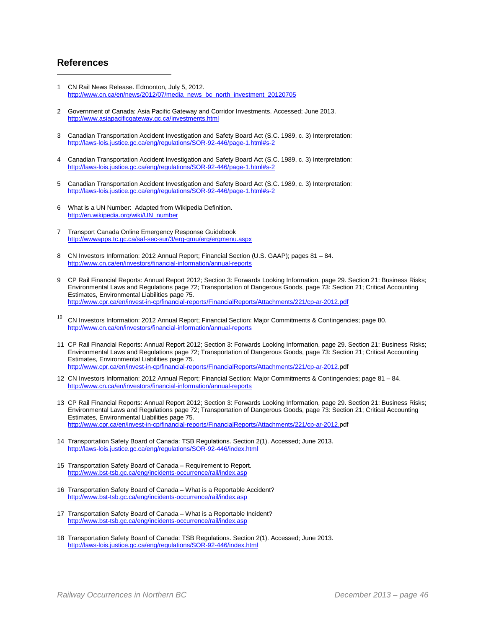#### **References**

- <span id="page-45-0"></span>1 CN Rail News Release. Edmonton, July 5, 2012. [http://www.cn.ca/en/news/2012/07/media\\_news\\_bc\\_north\\_investment\\_20120705](http://www.cn.ca/en/news/2012/07/media_news_bc_north_investment_20120705)
- <span id="page-45-1"></span>2 Government of Canada: Asia Pacific Gateway and Corridor Investments. Accessed; June 2013. <http://www.asiapacificgateway.gc.ca/investments.html>
- 3 Canadian Transportation Accident Investigation and Safety Board Act (S.C. 1989, c. 3) Interpretation: [http://laws-lois.justice.gc.ca/eng/regulations/SOR-92-446/page-1.html#s-2](http://laws-lois.justice.gc.ca/eng/regulations/SOR-92-446/page-1.html%23s-2)
- 4 Canadian Transportation Accident Investigation and Safety Board Act (S.C. 1989, c. 3) Interpretation: [http://laws-lois.justice.gc.ca/eng/regulations/SOR-92-446/page-1.html#s-2](http://laws-lois.justice.gc.ca/eng/regulations/SOR-92-446/page-1.html%23s-2)
- 5 Canadian Transportation Accident Investigation and Safety Board Act (S.C. 1989, c. 3) Interpretation: [http://laws-lois.justice.gc.ca/eng/regulations/SOR-92-446/page-1.html#s-2](http://laws-lois.justice.gc.ca/eng/regulations/SOR-92-446/page-1.html%23s-2)
- 6 What is a UN Number: Adapted from Wikipedia Definition. [http://en.wikipedia.org/wiki/UN\\_number](http://en.wikipedia.org/wiki/UN_number)
- 7 Transport Canada Online Emergency Response Guidebook <http://wwwapps.tc.gc.ca/saf-sec-sur/3/erg-gmu/erg/ergmenu.aspx>
- 8 CN Investors Information: 2012 Annual Report; Financial Section (U.S. GAAP); pages 81 84. <http://www.cn.ca/en/investors/financial-information/annual-reports>
- 9 CP Rail Financial Reports: Annual Report 2012; Section 3: Forwards Looking Information, page 29. Section 21: Business Risks; Environmental Laws and Regulations page 72; Transportation of Dangerous Goods, page 73: Section 21; Critical Accounting Estimates, Environmental Liabilities page 75. <http://www.cpr.ca/en/invest-in-cp/financial-reports/FinancialReports/Attachments/221/cp-ar-2012.pdf>
- <sup>10</sup> CN Investors Information: 2012 Annual Report; Financial Section: Major Commitments & Contingencies; page 80. <http://www.cn.ca/en/investors/financial-information/annual-reports>
- 11 CP Rail Financial Reports: Annual Report 2012; Section 3: Forwards Looking Information, page 29. Section 21: Business Risks; Environmental Laws and Regulations page 72; Transportation of Dangerous Goods, page 73: Section 21; Critical Accounting Estimates, Environmental Liabilities page 75. [http://www.cpr.ca/en/invest-in-cp/financial-reports/FinancialReports/Attachments/221/cp-ar-2012.p](http://www.cpr.ca/en/invest-in-cp/financial-reports/FinancialReports/Attachments/221/cp-ar-2012.)df
- 12 CN Investors Information: 2012 Annual Report; Financial Section: Major Commitments & Contingencies; page 81 84. <http://www.cn.ca/en/investors/financial-information/annual-reports>
- 13 CP Rail Financial Reports: Annual Report 2012; Section 3: Forwards Looking Information, page 29. Section 21: Business Risks; Environmental Laws and Regulations page 72; Transportation of Dangerous Goods, page 73: Section 21; Critical Accounting Estimates, Environmental Liabilities page 75. [http://www.cpr.ca/en/invest-in-cp/financial-reports/FinancialReports/Attachments/221/cp-ar-2012.p](http://www.cpr.ca/en/invest-in-cp/financial-reports/FinancialReports/Attachments/221/cp-ar-2012.)df
- 14 Transportation Safety Board of Canada: TSB Regulations. Section 2(1). Accessed; June 2013. <http://laws-lois.justice.gc.ca/eng/regulations/SOR-92-446/index.html>
- 15 Transportation Safety Board of Canada Requirement to Report. <http://www.bst-tsb.gc.ca/eng/incidents-occurrence/rail/index.asp>
- 16 Transportation Safety Board of Canada What is a Reportable Accident? <http://www.bst-tsb.gc.ca/eng/incidents-occurrence/rail/index.asp>
- 17 Transportation Safety Board of Canada What is a Reportable Incident? <http://www.bst-tsb.gc.ca/eng/incidents-occurrence/rail/index.asp>
- 18 Transportation Safety Board of Canada: TSB Regulations. Section 2(1). Accessed; June 2013. <http://laws-lois.justice.gc.ca/eng/regulations/SOR-92-446/index.html>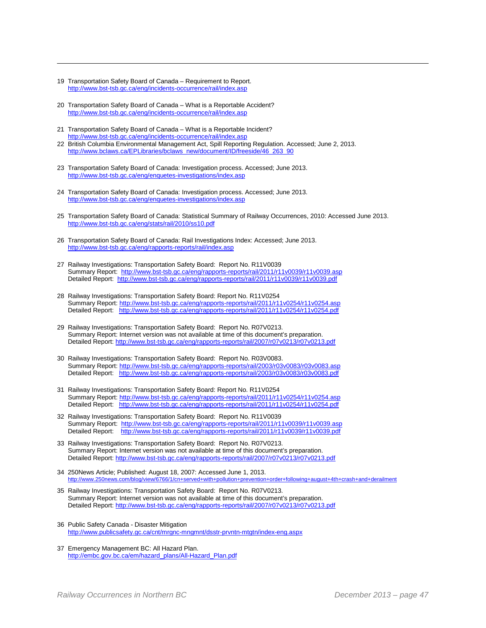19 Transportation Safety Board of Canada – Requirement to Report. <http://www.bst-tsb.gc.ca/eng/incidents-occurrence/rail/index.asp>

- 20 Transportation Safety Board of Canada What is a Reportable Accident? <http://www.bst-tsb.gc.ca/eng/incidents-occurrence/rail/index.asp>
- <span id="page-46-0"></span>21 Transportation Safety Board of Canada – What is a Reportable Incident? <http://www.bst-tsb.gc.ca/eng/incidents-occurrence/rail/index.asp>
- 22 British Columbia Environmental Management Act, Spill Reporting Regulation. Accessed; June 2, 2013. [http://www.bclaws.ca/EPLibraries/bclaws\\_new/document/ID/freeside/46\\_263\\_90](http://www.bclaws.ca/EPLibraries/bclaws_new/document/ID/freeside/46_263_90)
- <span id="page-46-1"></span>23 Transportation Safety Board of Canada: Investigation process. Accessed; June 2013. <http://www.bst-tsb.gc.ca/eng/enquetes-investigations/index.asp>
- <span id="page-46-2"></span>24 Transportation Safety Board of Canada: Investigation process. Accessed; June 2013. <http://www.bst-tsb.gc.ca/eng/enquetes-investigations/index.asp>
- <span id="page-46-3"></span>25 Transportation Safety Board of Canada: Statistical Summary of Railway Occurrences, 2010: Accessed June 2013. <http://www.bst-tsb.gc.ca/eng/stats/rail/2010/ss10.pdf>
- <span id="page-46-4"></span>26 Transportation Safety Board of Canada: Rail Investigations Index: Accessed; June 2013. <http://www.bst-tsb.gc.ca/eng/rapports-reports/rail/index.asp>
- 27 Railway Investigations: Transportation Safety Board: Report No. R11V0039 Summary Report:<http://www.bst-tsb.gc.ca/eng/rapports-reports/rail/2011/r11v0039/r11v0039.asp> Detailed Report: <http://www.bst-tsb.gc.ca/eng/rapports-reports/rail/2011/r11v0039/r11v0039.pdf>
- 28 Railway Investigations: Transportation Safety Board: Report No. R11V0254 Summary Report[: http://www.bst-tsb.gc.ca/eng/rapports-reports/rail/2011/r11v0254/r11v0254.asp](http://www.bst-tsb.gc.ca/eng/rapports-reports/rail/2011/r11v0254/r11v0254.asp) Detailed Report: <http://www.bst-tsb.gc.ca/eng/rapports-reports/rail/2011/r11v0254/r11v0254.pdf>
- 29 Railway Investigations: Transportation Safety Board: Report No. R07V0213. Summary Report: Internet version was not available at time of this document's preparation. Detailed Report[: http://www.bst-tsb.gc.ca/eng/rapports-reports/rail/2007/r07v0213/r07v0213.pdf](http://www.bst-tsb.gc.ca/eng/rapports-reports/rail/2007/r07v0213/r07v0213.pdf)
- 30 Railway Investigations: Transportation Safety Board: Report No. R03V0083. Summary Report[: http://www.bst-tsb.gc.ca/eng/rapports-reports/rail/2003/r03v0083/r03v0083.asp](http://www.bst-tsb.gc.ca/eng/rapports-reports/rail/2003/r03v0083/r03v0083.asp) Detailed Report: <http://www.bst-tsb.gc.ca/eng/rapports-reports/rail/2003/r03v0083/r03v0083.pdf>
- 31 Railway Investigations: Transportation Safety Board: Report No. R11V0254 Summary Report[: http://www.bst-tsb.gc.ca/eng/rapports-reports/rail/2011/r11v0254/r11v0254.asp](http://www.bst-tsb.gc.ca/eng/rapports-reports/rail/2011/r11v0254/r11v0254.asp) Detailed Report: <http://www.bst-tsb.gc.ca/eng/rapports-reports/rail/2011/r11v0254/r11v0254.pdf>
- 32 Railway Investigations: Transportation Safety Board: Report No. R11V0039 Summary Report:<http://www.bst-tsb.gc.ca/eng/rapports-reports/rail/2011/r11v0039/r11v0039.asp> Detailed Report: <http://www.bst-tsb.gc.ca/eng/rapports-reports/rail/2011/r11v0039/r11v0039.pdf>
- 33 Railway Investigations: Transportation Safety Board: Report No. R07V0213. Summary Report: Internet version was not available at time of this document's preparation. Detailed Report[: http://www.bst-tsb.gc.ca/eng/rapports-reports/rail/2007/r07v0213/r07v0213.pdf](http://www.bst-tsb.gc.ca/eng/rapports-reports/rail/2007/r07v0213/r07v0213.pdf)
- 34 250News Article; Published: August 18, 2007: Accessed June 1, 2013.<br>http://www.250news.com/blog/view/6766/1/cn+served+with+pollution+prevention+order+following+august+4th+crash+and+derailment http://www.250news.com/blog/view/6766/1/cn+served+with+pollution+pre
- 35 Railway Investigations: Transportation Safety Board: Report No. R07V0213. Summary Report: Internet version was not available at time of this document's preparation. Detailed Report[: http://www.bst-tsb.gc.ca/eng/rapports-reports/rail/2007/r07v0213/r07v0213.pdf](http://www.bst-tsb.gc.ca/eng/rapports-reports/rail/2007/r07v0213/r07v0213.pdf)
- 36 Public Safety Canada Disaster Mitigation <http://www.publicsafety.gc.ca/cnt/mrgnc-mngmnt/dsstr-prvntn-mtgtn/index-eng.aspx>
- 37 Emergency Management BC: All Hazard Plan. [http://embc.gov.bc.ca/em/hazard\\_plans/All-Hazard\\_Plan.pdf](http://embc.gov.bc.ca/em/hazard_plans/All-Hazard_Plan.pdf)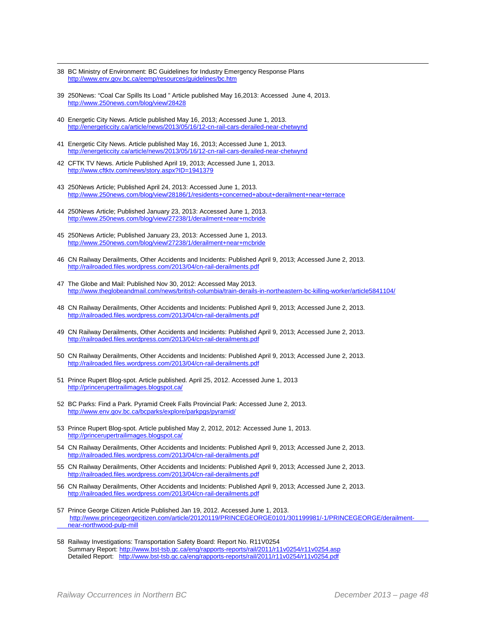- $\overline{a}$ 38 BC Ministry of Environment: BC Guidelines for Industry Emergency Response Plans <http://www.env.gov.bc.ca/eemp/resources/guidelines/bc.htm>
- <span id="page-47-12"></span><span id="page-47-11"></span>39 250News: "Coal Car Spills Its Load " Article published May 16,2013: Accessed June 4, 2013. <http://www.250news.com/blog/view/28428>
- <span id="page-47-13"></span>40 Energetic City News. Article published May 16, 2013; Accessed June 1, 2013. <http://energeticcity.ca/article/news/2013/05/16/12-cn-rail-cars-derailed-near-chetwynd>
- <span id="page-47-14"></span>41 Energetic City News. Article published May 16, 2013; Accessed June 1, 2013. <http://energeticcity.ca/article/news/2013/05/16/12-cn-rail-cars-derailed-near-chetwynd>
- 42 CFTK TV News. Article Published April 19, 2013; Accessed June 1, 2013. <http://www.cftktv.com/news/story.aspx?ID=1941379>
- 43 250News Article; Published April 24, 2013: Accessed June 1, 2013. <http://www.250news.com/blog/view/28186/1/residents+concerned+about+derailment+near+terrace>
- 44 250News Article; Published January 23, 2013: Accessed June 1, 2013. <http://www.250news.com/blog/view/27238/1/derailment+near+mcbride>
- 45 250News Article; Published January 23, 2013: Accessed June 1, 2013. <http://www.250news.com/blog/view/27238/1/derailment+near+mcbride>
- <span id="page-47-0"></span>46 CN Railway Derailments, Other Accidents and Incidents: Published April 9, 2013; Accessed June 2, 2013. <http://railroaded.files.wordpress.com/2013/04/cn-rail-derailments.pdf>
- <span id="page-47-1"></span>47 The Globe and Mail: Published Nov 30, 2012: Accessed May 2013. <http://www.theglobeandmail.com/news/british-columbia/train-derails-in-northeastern-bc-killing-worker/article5841104/>
- <span id="page-47-2"></span>48 CN Railway Derailments, Other Accidents and Incidents: Published April 9, 2013; Accessed June 2, 2013. <http://railroaded.files.wordpress.com/2013/04/cn-rail-derailments.pdf>
- 49 CN Railway Derailments, Other Accidents and Incidents: Published April 9, 2013; Accessed June 2, 2013. <http://railroaded.files.wordpress.com/2013/04/cn-rail-derailments.pdf>
- <span id="page-47-3"></span>50 CN Railway Derailments, Other Accidents and Incidents: Published April 9, 2013; Accessed June 2, 2013. <http://railroaded.files.wordpress.com/2013/04/cn-rail-derailments.pdf>
- <span id="page-47-4"></span>51 Prince Rupert Blog-spot. Article published. April 25, 2012. Accessed June 1, 2013 <http://princerupertrailimages.blogspot.ca/>
- <span id="page-47-5"></span>52 BC Parks: Find a Park. Pyramid Creek Falls Provincial Park: Accessed June 2, 2013. <http://www.env.gov.bc.ca/bcparks/explore/parkpgs/pyramid/>
- 53 Prince Rupert Blog-spot. Article published May 2, 2012, 2012: Accessed June 1, 2013. <http://princerupertrailimages.blogspot.ca/>
- <span id="page-47-6"></span>54 CN Railway Derailments, Other Accidents and Incidents: Published April 9, 2013; Accessed June 2, 2013. <http://railroaded.files.wordpress.com/2013/04/cn-rail-derailments.pdf>
- <span id="page-47-7"></span>55 CN Railway Derailments, Other Accidents and Incidents: Published April 9, 2013; Accessed June 2, 2013. <http://railroaded.files.wordpress.com/2013/04/cn-rail-derailments.pdf>
- <span id="page-47-8"></span>56 CN Railway Derailments, Other Accidents and Incidents: Published April 9, 2013; Accessed June 2, 2013. <http://railroaded.files.wordpress.com/2013/04/cn-rail-derailments.pdf>
- <span id="page-47-9"></span>57 Prince George Citizen Article Published Jan 19, 2012. Accessed June 1, 2013. [http://www.princegeorgecitizen.com/article/20120119/PRINCEGEORGE0101/301199981/-1/PRINCEGEORGE/derailment](http://www.princegeorgecitizen.com/article/20120119/PRINCEGEORGE0101/301199981/-1/PRINCEGEORGE/derailment-%09%09near-northwood-pulp-mill)[near-northwood-pulp-mill](http://www.princegeorgecitizen.com/article/20120119/PRINCEGEORGE0101/301199981/-1/PRINCEGEORGE/derailment-%09%09near-northwood-pulp-mill)
- <span id="page-47-10"></span>58 Railway Investigations: Transportation Safety Board: Report No. R11V0254 Summary Report[: http://www.bst-tsb.gc.ca/eng/rapports-reports/rail/2011/r11v0254/r11v0254.asp](http://www.bst-tsb.gc.ca/eng/rapports-reports/rail/2011/r11v0254/r11v0254.asp) Detailed Report: <http://www.bst-tsb.gc.ca/eng/rapports-reports/rail/2011/r11v0254/r11v0254.pdf>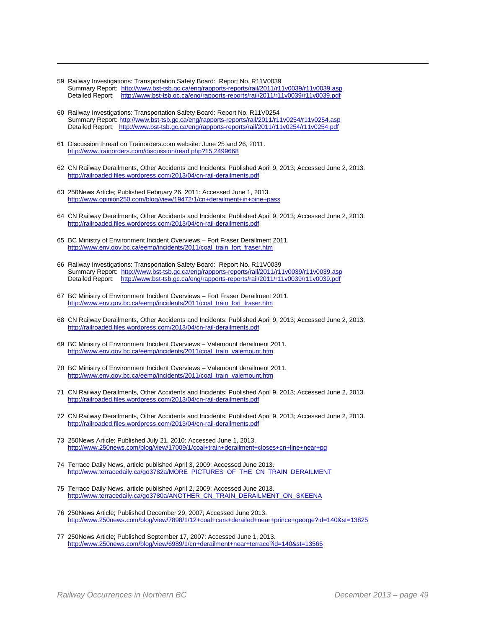- 59 Railway Investigations: Transportation Safety Board: Report No. R11V0039 Summary Report:<http://www.bst-tsb.gc.ca/eng/rapports-reports/rail/2011/r11v0039/r11v0039.asp> Detailed Report: <http://www.bst-tsb.gc.ca/eng/rapports-reports/rail/2011/r11v0039/r11v0039.pdf>
- 60 Railway Investigations: Transportation Safety Board: Report No. R11V0254 Summary Report[: http://www.bst-tsb.gc.ca/eng/rapports-reports/rail/2011/r11v0254/r11v0254.asp](http://www.bst-tsb.gc.ca/eng/rapports-reports/rail/2011/r11v0254/r11v0254.asp) Detailed Report: <u><http://www.bst-tsb.gc.ca/eng/rapports-reports/rail/2011/r11v0254/r11v0254.pdf></u>
- 61 Discussion thread on Trainorders.com website: June 25 and 26, 2011. <http://www.trainorders.com/discussion/read.php?15,2499668>

- <span id="page-48-0"></span>62 CN Railway Derailments, Other Accidents and Incidents: Published April 9, 2013; Accessed June 2, 2013. <http://railroaded.files.wordpress.com/2013/04/cn-rail-derailments.pdf>
- <span id="page-48-1"></span>63 250News Article; Published February 26, 2011: Accessed June 1, 2013. <http://www.opinion250.com/blog/view/19472/1/cn+derailment+in+pine+pass>
- <span id="page-48-2"></span>64 CN Railway Derailments, Other Accidents and Incidents: Published April 9, 2013; Accessed June 2, 2013. <http://railroaded.files.wordpress.com/2013/04/cn-rail-derailments.pdf>
- <span id="page-48-3"></span>65 BC Ministry of Environment Incident Overviews – Fort Fraser Derailment 2011. [http://www.env.gov.bc.ca/eemp/incidents/2011/coal\\_train\\_fort\\_fraser.htm](http://www.env.gov.bc.ca/eemp/incidents/2011/coal_train_fort_fraser.htm)
- <span id="page-48-4"></span>66 Railway Investigations: Transportation Safety Board: Report No. R11V0039 Summary Report:<http://www.bst-tsb.gc.ca/eng/rapports-reports/rail/2011/r11v0039/r11v0039.asp> Detailed Report: <http://www.bst-tsb.gc.ca/eng/rapports-reports/rail/2011/r11v0039/r11v0039.pdf>
- <span id="page-48-5"></span>67 BC Ministry of Environment Incident Overviews – Fort Fraser Derailment 2011. [http://www.env.gov.bc.ca/eemp/incidents/2011/coal\\_train\\_fort\\_fraser.htm](http://www.env.gov.bc.ca/eemp/incidents/2011/coal_train_fort_fraser.htm)
- <span id="page-48-6"></span>68 CN Railway Derailments, Other Accidents and Incidents: Published April 9, 2013; Accessed June 2, 2013. <http://railroaded.files.wordpress.com/2013/04/cn-rail-derailments.pdf>
- 69 BC Ministry of Environment Incident Overviews Valemount derailment 2011. [http://www.env.gov.bc.ca/eemp/incidents/2011/coal\\_train\\_valemount.htm](http://www.env.gov.bc.ca/eemp/incidents/2011/coal_train_valemount.htm)
- <span id="page-48-7"></span>70 BC Ministry of Environment Incident Overviews – Valemount derailment 2011. [http://www.env.gov.bc.ca/eemp/incidents/2011/coal\\_train\\_valemount.htm](http://www.env.gov.bc.ca/eemp/incidents/2011/coal_train_valemount.htm)
- <span id="page-48-8"></span>71 CN Railway Derailments, Other Accidents and Incidents: Published April 9, 2013; Accessed June 2, 2013. <http://railroaded.files.wordpress.com/2013/04/cn-rail-derailments.pdf>
- <span id="page-48-9"></span>72 CN Railway Derailments, Other Accidents and Incidents: Published April 9, 2013; Accessed June 2, 2013. <http://railroaded.files.wordpress.com/2013/04/cn-rail-derailments.pdf>
- <span id="page-48-10"></span>73 250News Article; Published July 21, 2010: Accessed June 1, 2013. <http://www.250news.com/blog/view/17009/1/coal+train+derailment+closes+cn+line+near+pg>
- <span id="page-48-11"></span>74 Terrace Daily News, article published April 3, 2009; Accessed June 2013. [http://www.terracedaily.ca/go3782a/MORE\\_PICTURES\\_OF\\_THE\\_CN\\_TRAIN\\_DERAILMENT](http://www.terracedaily.ca/go3782a/MORE_PICTURES_OF_THE_CN_TRAIN_DERAILMENT)
- <span id="page-48-12"></span>75 Terrace Daily News, article published April 2, 2009; Accessed June 2013. [http://www.terracedaily.ca/go3780a/ANOTHER\\_CN\\_TRAIN\\_DERAILMENT\\_ON\\_SKEENA](http://www.terracedaily.ca/go3780a/ANOTHER_CN_TRAIN_DERAILMENT_ON_SKEENA)
- 76 250News Article; Published December 29, 2007; Accessed June 2013. <http://www.250news.com/blog/view/7898/1/12+coal+cars+derailed+near+prince+george?id=140&st=13825>
- 77 250News Article; Published September 17, 2007: Accessed June 1, 2013. <http://www.250news.com/blog/view/6989/1/cn+derailment+near+terrace?id=140&st=13565>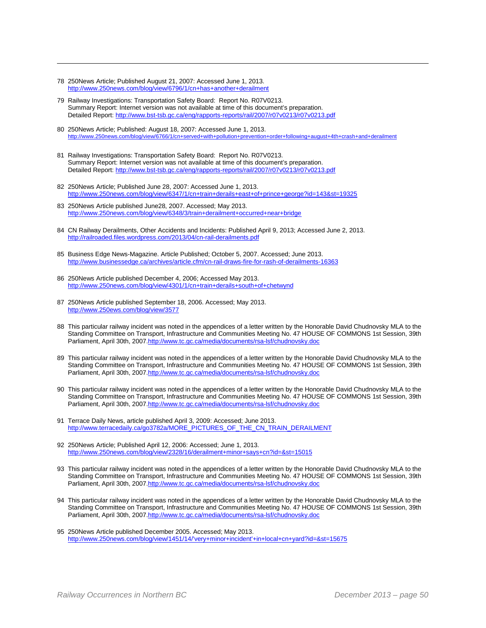<span id="page-49-2"></span>78 250News Article; Published August 21, 2007: Accessed June 1, 2013. <http://www.250news.com/blog/view/6796/1/cn+has+another+derailment>

- <span id="page-49-3"></span>79 Railway Investigations: Transportation Safety Board: Report No. R07V0213. Summary Report: Internet version was not available at time of this document's preparation. Detailed Report[: http://www.bst-tsb.gc.ca/eng/rapports-reports/rail/2007/r07v0213/r07v0213.pdf](http://www.bst-tsb.gc.ca/eng/rapports-reports/rail/2007/r07v0213/r07v0213.pdf)
- <span id="page-49-4"></span>80 250News Article; Published: August 18, 2007: Accessed June 1, 2013. <http://www.250news.com/blog/view/6766/1/cn+served+with+pollution+prevention+order+following+august+4th+crash+and+derailment>
- <span id="page-49-6"></span><span id="page-49-5"></span>81 Railway Investigations: Transportation Safety Board: Report No. R07V0213. Summary Report: Internet version was not available at time of this document's preparation. Detailed Report[: http://www.bst-tsb.gc.ca/eng/rapports-reports/rail/2007/r07v0213/r07v0213.pdf](http://www.bst-tsb.gc.ca/eng/rapports-reports/rail/2007/r07v0213/r07v0213.pdf)
- <span id="page-49-7"></span>82 250News Article; Published June 28, 2007: Accessed June 1, 2013. <http://www.250news.com/blog/view/6347/1/cn+train+derails+east+of+prince+george?id=143&st=19325>
- 83 250News Article published June28, 2007. Accessed; May 2013. <http://www.250news.com/blog/view/6348/3/train+derailment+occurred+near+bridge>
- 84 CN Railway Derailments, Other Accidents and Incidents: Published April 9, 2013; Accessed June 2, 2013. <http://railroaded.files.wordpress.com/2013/04/cn-rail-derailments.pdf>
- 85 Business Edge News-Magazine. Article Published; October 5, 2007. Accessed; June 2013. <http://www.businessedge.ca/archives/article.cfm/cn-rail-draws-fire-for-rash-of-derailments-16363>
- 86 250News Article published December 4, 2006; Accessed May 2013. <http://www.250news.com/blog/view/4301/1/cn+train+derails+south+of+chetwynd>
- 87 250News Article published September 18, 2006. Accessed; May 2013. <http://www.250ews.com/blog/view/3577>
- 88 This particular railway incident was noted in the appendices of a letter written by the Honorable David Chudnovsky MLA to the Standing Committee on Transport, Infrastructure and Communities Meeting No. 47 HOUSE OF COMMONS 1st Session, 39th Parliament, April 30th, 200[7.http://www.tc.gc.ca/media/documents/rsa-lsf/chudnovsky.doc](http://www.tc.gc.ca/media/documents/rsa-lsf/chudnovsky.doc)
- 89 This particular railway incident was noted in the appendices of a letter written by the Honorable David Chudnovsky MLA to the Standing Committee on Transport, Infrastructure and Communities Meeting No. 47 HOUSE OF COMMONS 1st Session, 39th Parliament, April 30th, 200[7.http://www.tc.gc.ca/media/documents/rsa-lsf/chudnovsky.doc](http://www.tc.gc.ca/media/documents/rsa-lsf/chudnovsky.doc)
- 90 This particular railway incident was noted in the appendices of a letter written by the Honorable David Chudnovsky MLA to the Standing Committee on Transport, Infrastructure and Communities Meeting No. 47 HOUSE OF COMMONS 1st Session, 39th Parliament, April 30th, 200[7.http://www.tc.gc.ca/media/documents/rsa-lsf/chudnovsky.doc](http://www.tc.gc.ca/media/documents/rsa-lsf/chudnovsky.doc)
- 91 Terrace Daily News, article published April 3, 2009: Accessed; June 2013. [http://www.terracedaily.ca/go3782a/MORE\\_PICTURES\\_OF\\_THE\\_CN\\_TRAIN\\_DERAILMENT](http://www.terracedaily.ca/go3782a/MORE_PICTURES_OF_THE_CN_TRAIN_DERAILMENT)
- 92 250News Article; Published April 12, 2006: Accessed; June 1, 2013. <http://www.250news.com/blog/view/2328/16/derailment+minor+says+cn?id=&st=15015>
- 93 This particular railway incident was noted in the appendices of a letter written by the Honorable David Chudnovsky MLA to the Standing Committee on Transport, Infrastructure and Communities Meeting No. 47 HOUSE OF COMMONS 1st Session, 39th Parliament, April 30th, 200[7.http://www.tc.gc.ca/media/documents/rsa-lsf/chudnovsky.doc](http://www.tc.gc.ca/media/documents/rsa-lsf/chudnovsky.doc)
- 94 This particular railway incident was noted in the appendices of a letter written by the Honorable David Chudnovsky MLA to the Standing Committee on Transport, Infrastructure and Communities Meeting No. 47 HOUSE OF COMMONS 1st Session, 39th Parliament, April 30th, 200[7.http://www.tc.gc.ca/media/documents/rsa-lsf/chudnovsky.doc](http://www.tc.gc.ca/media/documents/rsa-lsf/chudnovsky.doc)
- <span id="page-49-1"></span><span id="page-49-0"></span>95 250News Article published December 2005. Accessed; May 2013. [http://www.250news.com/blog/view/1451/14/'very+minor+incident'+in+local+cn+yard?id=&st=15675](http://www.250news.com/blog/view/1451/14/)